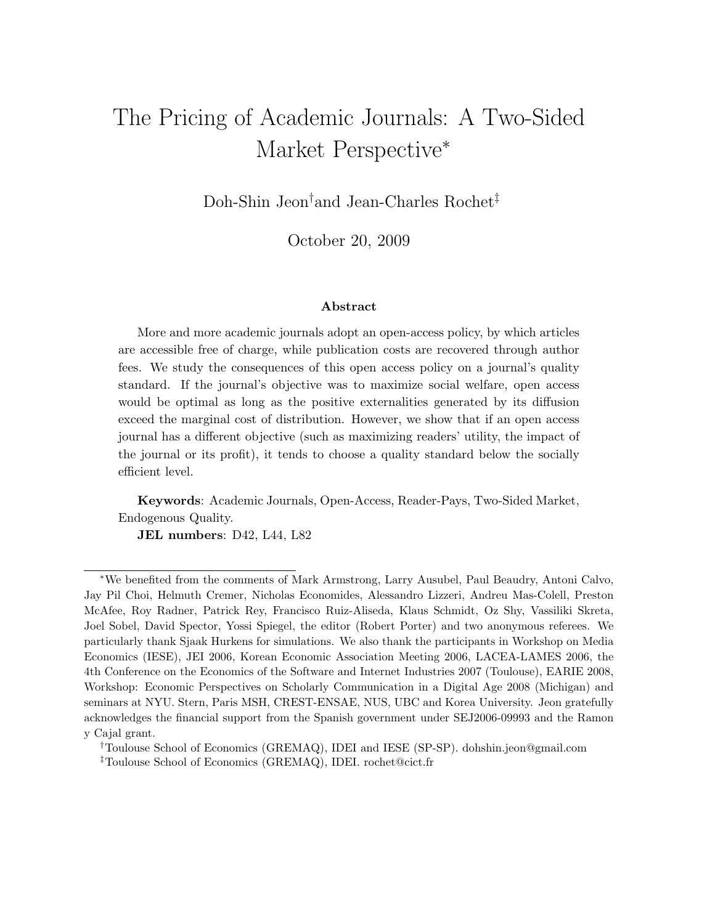# The Pricing of Academic Journals: A Two-Sided Market Perspective<sup>∗</sup>

Doh-Shin Jeon† and Jean-Charles Rochet‡

October 20, 2009

#### **Abstract**

More and more academic journals adopt an open-access policy, by which articles are accessible free of charge, while publication costs are recovered through author fees. We study the consequences of this open access policy on a journal's quality standard. If the journal's objective was to maximize social welfare, open access would be optimal as long as the positive externalities generated by its diffusion exceed the marginal cost of distribution. However, we show that if an open access journal has a different objective (such as maximizing readers' utility, the impact of the journal or its profit), it tends to choose a quality standard below the socially efficient level.

**Keywords**: Academic Journals, Open-Access, Reader-Pays, Two-Sided Market, Endogenous Quality.

**JEL numbers**: D42, L44, L82

†Toulouse School of Economics (GREMAQ), IDEI and IESE (SP-SP). dohshin.jeon@gmail.com ‡Toulouse School of Economics (GREMAQ), IDEI. rochet@cict.fr

<sup>∗</sup>We benefited from the comments of Mark Armstrong, Larry Ausubel, Paul Beaudry, Antoni Calvo, Jay Pil Choi, Helmuth Cremer, Nicholas Economides, Alessandro Lizzeri, Andreu Mas-Colell, Preston McAfee, Roy Radner, Patrick Rey, Francisco Ruiz-Aliseda, Klaus Schmidt, Oz Shy, Vassiliki Skreta, Joel Sobel, David Spector, Yossi Spiegel, the editor (Robert Porter) and two anonymous referees. We particularly thank Sjaak Hurkens for simulations. We also thank the participants in Workshop on Media Economics (IESE), JEI 2006, Korean Economic Association Meeting 2006, LACEA-LAMES 2006, the 4th Conference on the Economics of the Software and Internet Industries 2007 (Toulouse), EARIE 2008, Workshop: Economic Perspectives on Scholarly Communication in a Digital Age 2008 (Michigan) and seminars at NYU. Stern, Paris MSH, CREST-ENSAE, NUS, UBC and Korea University. Jeon gratefully acknowledges the financial support from the Spanish government under SEJ2006-09993 and the Ramon y Cajal grant.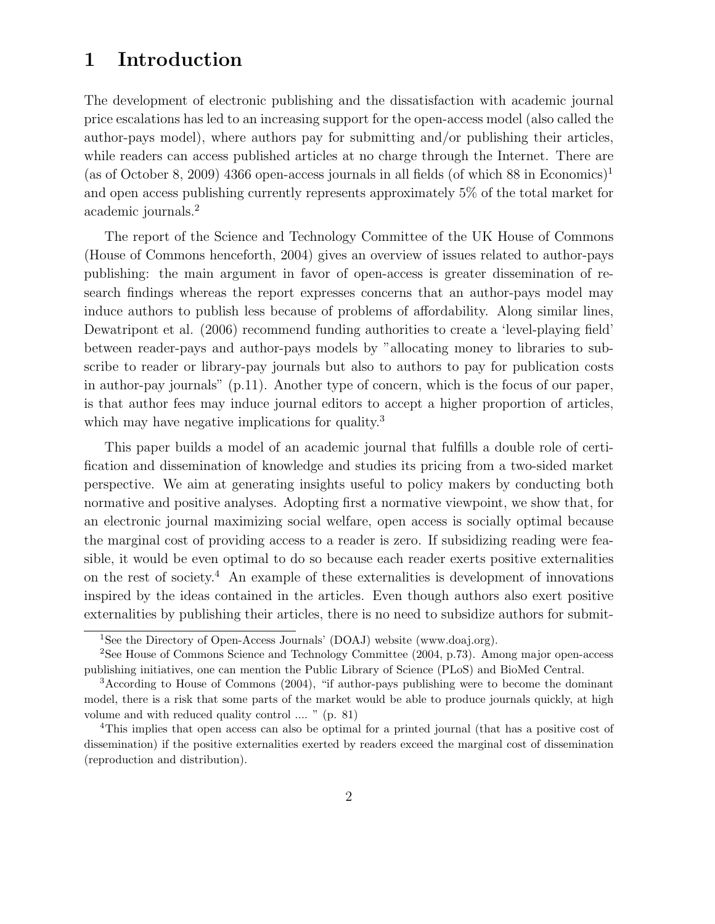# **1 Introduction**

The development of electronic publishing and the dissatisfaction with academic journal price escalations has led to an increasing support for the open-access model (also called the author-pays model), where authors pay for submitting and/or publishing their articles, while readers can access published articles at no charge through the Internet. There are (as of October 8, 2009) 4366 open-access journals in all fields (of which 88 in Economics)<sup>1</sup> and open access publishing currently represents approximately 5% of the total market for academic journals.<sup>2</sup>

The report of the Science and Technology Committee of the UK House of Commons (House of Commons henceforth, 2004) gives an overview of issues related to author-pays publishing: the main argument in favor of open-access is greater dissemination of research findings whereas the report expresses concerns that an author-pays model may induce authors to publish less because of problems of affordability. Along similar lines, Dewatripont et al. (2006) recommend funding authorities to create a 'level-playing field' between reader-pays and author-pays models by "allocating money to libraries to subscribe to reader or library-pay journals but also to authors to pay for publication costs in author-pay journals" (p.11). Another type of concern, which is the focus of our paper, is that author fees may induce journal editors to accept a higher proportion of articles, which may have negative implications for quality.<sup>3</sup>

This paper builds a model of an academic journal that fulfills a double role of certification and dissemination of knowledge and studies its pricing from a two-sided market perspective. We aim at generating insights useful to policy makers by conducting both normative and positive analyses. Adopting first a normative viewpoint, we show that, for an electronic journal maximizing social welfare, open access is socially optimal because the marginal cost of providing access to a reader is zero. If subsidizing reading were feasible, it would be even optimal to do so because each reader exerts positive externalities on the rest of society.<sup>4</sup> An example of these externalities is development of innovations inspired by the ideas contained in the articles. Even though authors also exert positive externalities by publishing their articles, there is no need to subsidize authors for submit-

<sup>1</sup>See the Directory of Open-Access Journals' (DOAJ) website (www.doaj.org).

<sup>2</sup>See House of Commons Science and Technology Committee (2004, p.73). Among major open-access publishing initiatives, one can mention the Public Library of Science (PLoS) and BioMed Central.

<sup>3</sup>According to House of Commons (2004), "if author-pays publishing were to become the dominant model, there is a risk that some parts of the market would be able to produce journals quickly, at high volume and with reduced quality control .... " (p. 81)

<sup>4</sup>This implies that open access can also be optimal for a printed journal (that has a positive cost of dissemination) if the positive externalities exerted by readers exceed the marginal cost of dissemination (reproduction and distribution).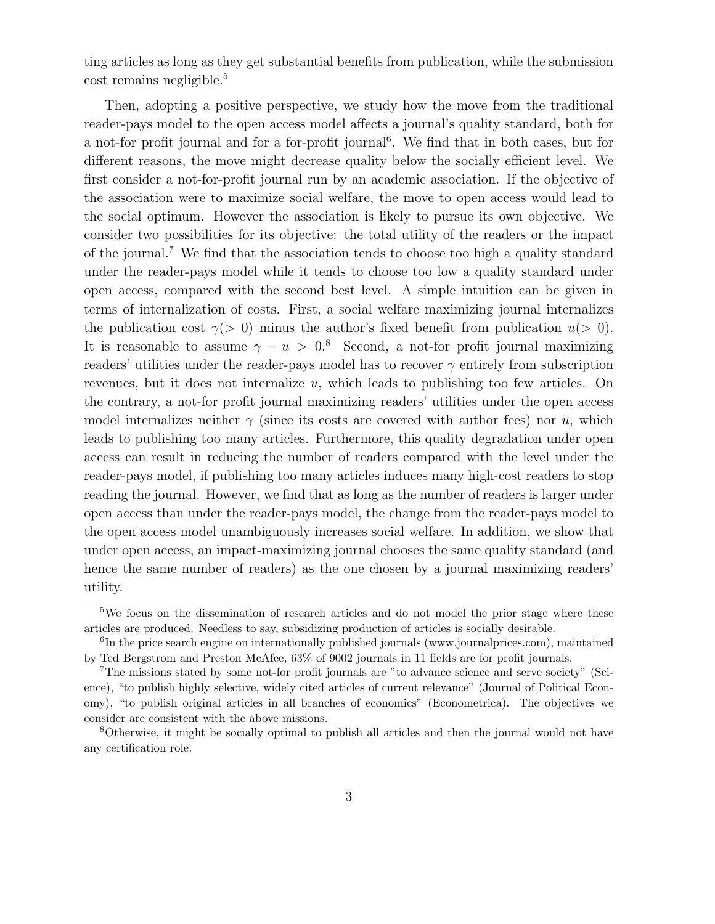ting articles as long as they get substantial benefits from publication, while the submission cost remains negligible.<sup>5</sup>

Then, adopting a positive perspective, we study how the move from the traditional reader-pays model to the open access model affects a journal's quality standard, both for a not-for profit journal and for a for-profit journal<sup>6</sup>. We find that in both cases, but for different reasons, the move might decrease quality below the socially efficient level. We first consider a not-for-profit journal run by an academic association. If the objective of the association were to maximize social welfare, the move to open access would lead to the social optimum. However the association is likely to pursue its own objective. We consider two possibilities for its objective: the total utility of the readers or the impact of the journal.<sup>7</sup> We find that the association tends to choose too high a quality standard under the reader-pays model while it tends to choose too low a quality standard under open access, compared with the second best level. A simple intuition can be given in terms of internalization of costs. First, a social welfare maximizing journal internalizes the publication cost  $\gamma$ (> 0) minus the author's fixed benefit from publication  $u$ (> 0). It is reasonable to assume  $\gamma - u > 0$ .<sup>8</sup> Second, a not-for profit journal maximizing readers' utilities under the reader-pays model has to recover  $\gamma$  entirely from subscription revenues, but it does not internalize u, which leads to publishing too few articles. On the contrary, a not-for profit journal maximizing readers' utilities under the open access model internalizes neither  $\gamma$  (since its costs are covered with author fees) nor u, which leads to publishing too many articles. Furthermore, this quality degradation under open access can result in reducing the number of readers compared with the level under the reader-pays model, if publishing too many articles induces many high-cost readers to stop reading the journal. However, we find that as long as the number of readers is larger under open access than under the reader-pays model, the change from the reader-pays model to the open access model unambiguously increases social welfare. In addition, we show that under open access, an impact-maximizing journal chooses the same quality standard (and hence the same number of readers) as the one chosen by a journal maximizing readers' utility.

<sup>5</sup>We focus on the dissemination of research articles and do not model the prior stage where these articles are produced. Needless to say, subsidizing production of articles is socially desirable.

<sup>&</sup>lt;sup>6</sup>In the price search engine on internationally published journals (www.journalprices.com), maintained by Ted Bergstrom and Preston McAfee, 63% of 9002 journals in 11 fields are for profit journals.

<sup>7</sup>The missions stated by some not-for profit journals are "to advance science and serve society" (Science), "to publish highly selective, widely cited articles of current relevance" (Journal of Political Economy), "to publish original articles in all branches of economics" (Econometrica). The objectives we consider are consistent with the above missions.

<sup>8</sup>Otherwise, it might be socially optimal to publish all articles and then the journal would not have any certification role.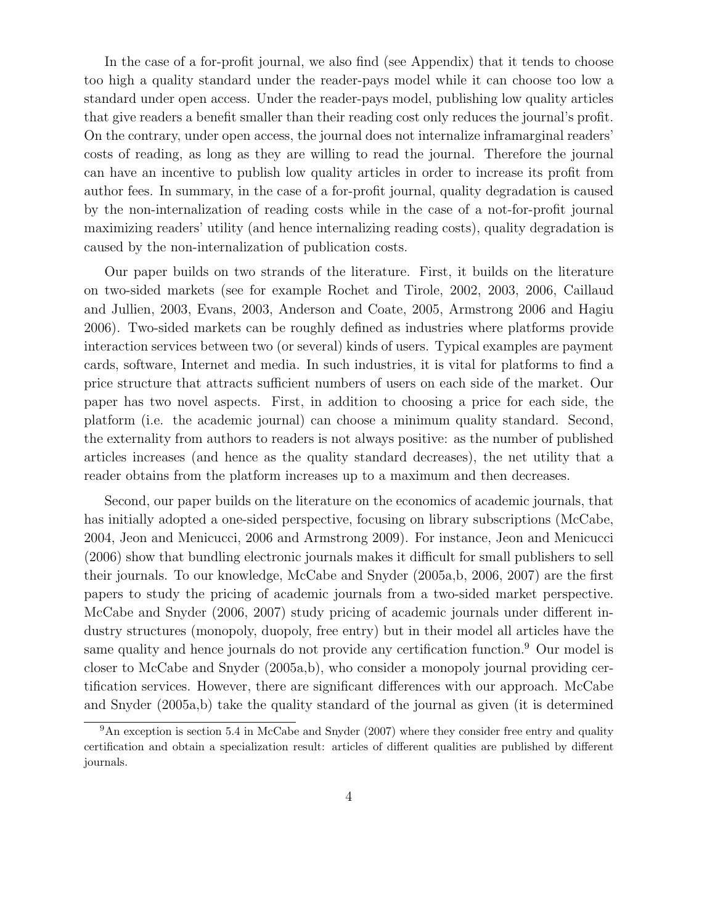In the case of a for-profit journal, we also find (see Appendix) that it tends to choose too high a quality standard under the reader-pays model while it can choose too low a standard under open access. Under the reader-pays model, publishing low quality articles that give readers a benefit smaller than their reading cost only reduces the journal's profit. On the contrary, under open access, the journal does not internalize inframarginal readers' costs of reading, as long as they are willing to read the journal. Therefore the journal can have an incentive to publish low quality articles in order to increase its profit from author fees. In summary, in the case of a for-profit journal, quality degradation is caused by the non-internalization of reading costs while in the case of a not-for-profit journal maximizing readers' utility (and hence internalizing reading costs), quality degradation is caused by the non-internalization of publication costs.

Our paper builds on two strands of the literature. First, it builds on the literature on two-sided markets (see for example Rochet and Tirole, 2002, 2003, 2006, Caillaud and Jullien, 2003, Evans, 2003, Anderson and Coate, 2005, Armstrong 2006 and Hagiu 2006). Two-sided markets can be roughly defined as industries where platforms provide interaction services between two (or several) kinds of users. Typical examples are payment cards, software, Internet and media. In such industries, it is vital for platforms to find a price structure that attracts sufficient numbers of users on each side of the market. Our paper has two novel aspects. First, in addition to choosing a price for each side, the platform (i.e. the academic journal) can choose a minimum quality standard. Second, the externality from authors to readers is not always positive: as the number of published articles increases (and hence as the quality standard decreases), the net utility that a reader obtains from the platform increases up to a maximum and then decreases.

Second, our paper builds on the literature on the economics of academic journals, that has initially adopted a one-sided perspective, focusing on library subscriptions (McCabe, 2004, Jeon and Menicucci, 2006 and Armstrong 2009). For instance, Jeon and Menicucci (2006) show that bundling electronic journals makes it difficult for small publishers to sell their journals. To our knowledge, McCabe and Snyder (2005a,b, 2006, 2007) are the first papers to study the pricing of academic journals from a two-sided market perspective. McCabe and Snyder (2006, 2007) study pricing of academic journals under different industry structures (monopoly, duopoly, free entry) but in their model all articles have the same quality and hence journals do not provide any certification function.<sup>9</sup> Our model is closer to McCabe and Snyder (2005a,b), who consider a monopoly journal providing certification services. However, there are significant differences with our approach. McCabe and Snyder (2005a,b) take the quality standard of the journal as given (it is determined

 $9<sup>9</sup>$ An exception is section 5.4 in McCabe and Snyder (2007) where they consider free entry and quality certification and obtain a specialization result: articles of different qualities are published by different journals.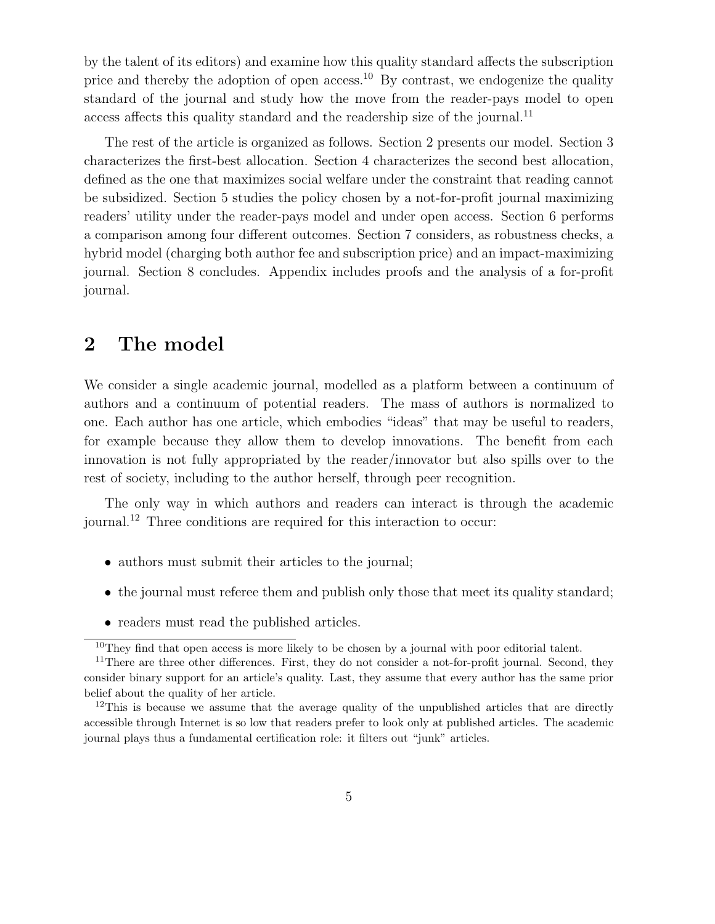by the talent of its editors) and examine how this quality standard affects the subscription price and thereby the adoption of open access.<sup>10</sup> By contrast, we endogenize the quality standard of the journal and study how the move from the reader-pays model to open access affects this quality standard and the readership size of the journal.<sup>11</sup>

The rest of the article is organized as follows. Section 2 presents our model. Section 3 characterizes the first-best allocation. Section 4 characterizes the second best allocation, defined as the one that maximizes social welfare under the constraint that reading cannot be subsidized. Section 5 studies the policy chosen by a not-for-profit journal maximizing readers' utility under the reader-pays model and under open access. Section 6 performs a comparison among four different outcomes. Section 7 considers, as robustness checks, a hybrid model (charging both author fee and subscription price) and an impact-maximizing journal. Section 8 concludes. Appendix includes proofs and the analysis of a for-profit journal.

# **2 The model**

We consider a single academic journal, modelled as a platform between a continuum of authors and a continuum of potential readers. The mass of authors is normalized to one. Each author has one article, which embodies "ideas" that may be useful to readers, for example because they allow them to develop innovations. The benefit from each innovation is not fully appropriated by the reader/innovator but also spills over to the rest of society, including to the author herself, through peer recognition.

The only way in which authors and readers can interact is through the academic journal.<sup>12</sup> Three conditions are required for this interaction to occur:

- authors must submit their articles to the journal;
- the journal must referee them and publish only those that meet its quality standard;
- readers must read the published articles.

 $10$ They find that open access is more likely to be chosen by a journal with poor editorial talent.

 $11$ There are three other differences. First, they do not consider a not-for-profit journal. Second, they consider binary support for an article's quality. Last, they assume that every author has the same prior belief about the quality of her article.

<sup>&</sup>lt;sup>12</sup>This is because we assume that the average quality of the unpublished articles that are directly accessible through Internet is so low that readers prefer to look only at published articles. The academic journal plays thus a fundamental certification role: it filters out "junk" articles.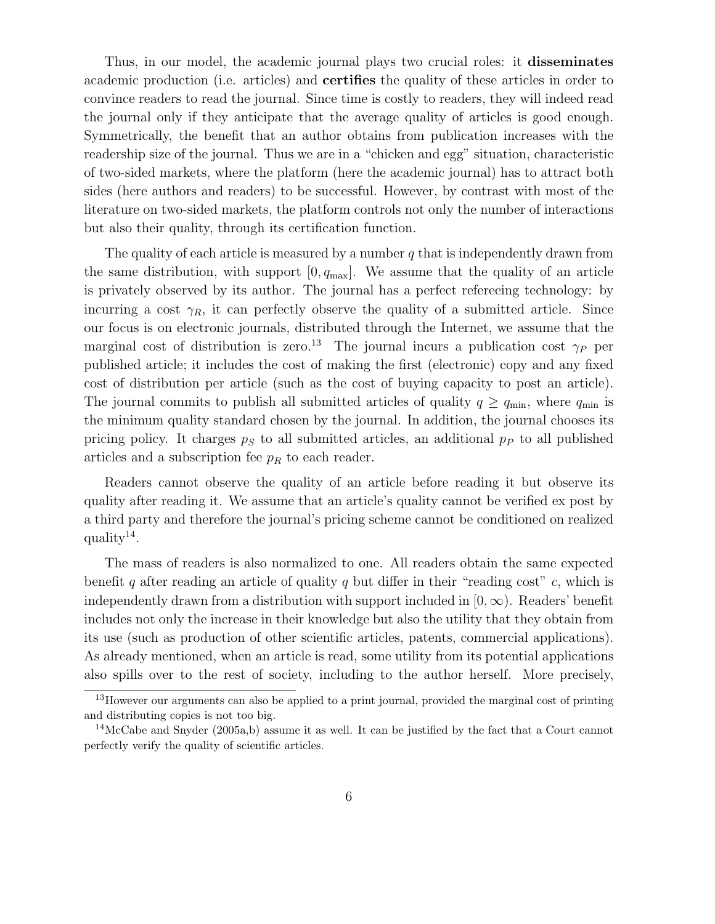Thus, in our model, the academic journal plays two crucial roles: it **disseminates** academic production (i.e. articles) and **certifies** the quality of these articles in order to convince readers to read the journal. Since time is costly to readers, they will indeed read the journal only if they anticipate that the average quality of articles is good enough. Symmetrically, the benefit that an author obtains from publication increases with the readership size of the journal. Thus we are in a "chicken and egg" situation, characteristic of two-sided markets, where the platform (here the academic journal) has to attract both sides (here authors and readers) to be successful. However, by contrast with most of the literature on two-sided markets, the platform controls not only the number of interactions but also their quality, through its certification function.

The quality of each article is measured by a number  $q$  that is independently drawn from the same distribution, with support  $[0, q_{\text{max}}]$ . We assume that the quality of an article is privately observed by its author. The journal has a perfect refereeing technology: by incurring a cost  $\gamma_R$ , it can perfectly observe the quality of a submitted article. Since our focus is on electronic journals, distributed through the Internet, we assume that the marginal cost of distribution is zero.<sup>13</sup> The journal incurs a publication cost  $\gamma_P$  per published article; it includes the cost of making the first (electronic) copy and any fixed cost of distribution per article (such as the cost of buying capacity to post an article). The journal commits to publish all submitted articles of quality  $q \geq q_{\text{min}}$ , where  $q_{\text{min}}$  is the minimum quality standard chosen by the journal. In addition, the journal chooses its pricing policy. It charges  $p<sub>S</sub>$  to all submitted articles, an additional  $p<sub>P</sub>$  to all published articles and a subscription fee  $p_R$  to each reader.

Readers cannot observe the quality of an article before reading it but observe its quality after reading it. We assume that an article's quality cannot be verified ex post by a third party and therefore the journal's pricing scheme cannot be conditioned on realized quality $14$ .

The mass of readers is also normalized to one. All readers obtain the same expected benefit q after reading an article of quality q but differ in their "reading cost" c, which is independently drawn from a distribution with support included in  $[0, \infty)$ . Readers' benefit includes not only the increase in their knowledge but also the utility that they obtain from its use (such as production of other scientific articles, patents, commercial applications). As already mentioned, when an article is read, some utility from its potential applications also spills over to the rest of society, including to the author herself. More precisely,

<sup>13</sup>However our arguments can also be applied to a print journal, provided the marginal cost of printing and distributing copies is not too big.

<sup>&</sup>lt;sup>14</sup>McCabe and Snyder (2005a,b) assume it as well. It can be justified by the fact that a Court cannot perfectly verify the quality of scientific articles.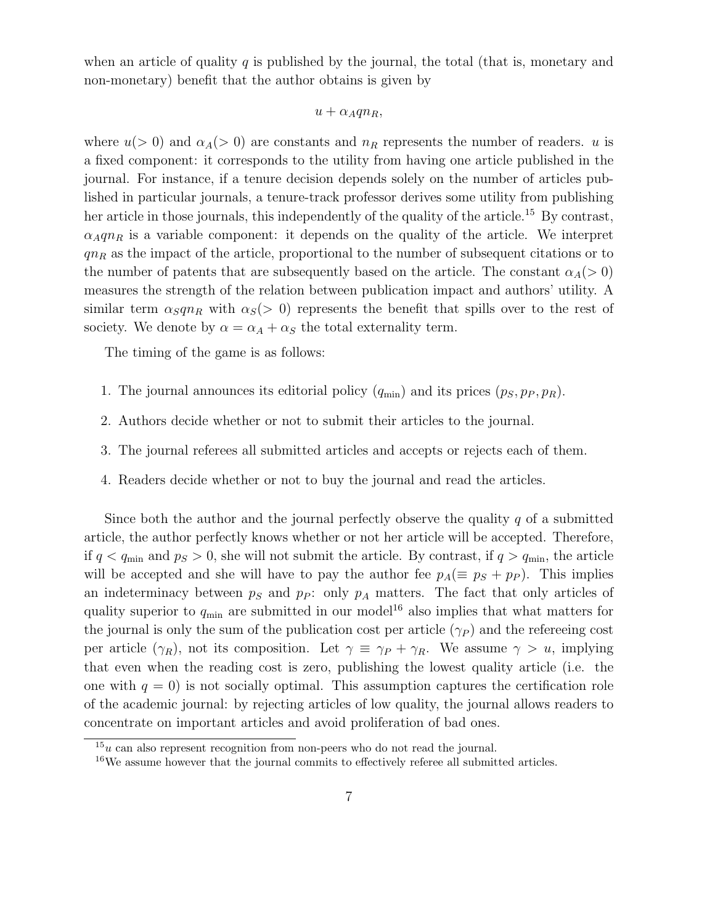when an article of quality q is published by the journal, the total (that is, monetary and non-monetary) benefit that the author obtains is given by

### $u + \alpha_A q n_R$

where  $u(> 0)$  and  $\alpha_A(> 0)$  are constants and  $n_R$  represents the number of readers. u is a fixed component: it corresponds to the utility from having one article published in the journal. For instance, if a tenure decision depends solely on the number of articles published in particular journals, a tenure-track professor derives some utility from publishing her article in those journals, this independently of the quality of the article.<sup>15</sup> By contrast,  $\alpha_A q n_R$  is a variable component: it depends on the quality of the article. We interpret  $qn<sub>R</sub>$  as the impact of the article, proportional to the number of subsequent citations or to the number of patents that are subsequently based on the article. The constant  $\alpha_A(>0)$ measures the strength of the relation between publication impact and authors' utility. A similar term  $\alpha_S q n_R$  with  $\alpha_S$ (> 0) represents the benefit that spills over to the rest of society. We denote by  $\alpha = \alpha_A + \alpha_S$  the total externality term.

The timing of the game is as follows:

- 1. The journal announces its editorial policy  $(q_{\min})$  and its prices  $(p_S, p_P, p_R)$ .
- 2. Authors decide whether or not to submit their articles to the journal.
- 3. The journal referees all submitted articles and accepts or rejects each of them.
- 4. Readers decide whether or not to buy the journal and read the articles.

Since both the author and the journal perfectly observe the quality  $q$  of a submitted article, the author perfectly knows whether or not her article will be accepted. Therefore, if  $q < q_{\text{min}}$  and  $p_S > 0$ , she will not submit the article. By contrast, if  $q > q_{\text{min}}$ , the article will be accepted and she will have to pay the author fee  $p_A(\equiv p_S + p_P)$ . This implies an indeterminacy between  $p_S$  and  $p_P$ : only  $p_A$  matters. The fact that only articles of quality superior to  $q_{\min}$  are submitted in our model<sup>16</sup> also implies that what matters for the journal is only the sum of the publication cost per article  $(\gamma_P)$  and the refereeing cost per article  $(\gamma_R)$ , not its composition. Let  $\gamma \equiv \gamma_P + \gamma_R$ . We assume  $\gamma > u$ , implying that even when the reading cost is zero, publishing the lowest quality article (i.e. the one with  $q = 0$ ) is not socially optimal. This assumption captures the certification role of the academic journal: by rejecting articles of low quality, the journal allows readers to concentrate on important articles and avoid proliferation of bad ones.

 $15u$  can also represent recognition from non-peers who do not read the journal.

<sup>&</sup>lt;sup>16</sup>We assume however that the journal commits to effectively referee all submitted articles.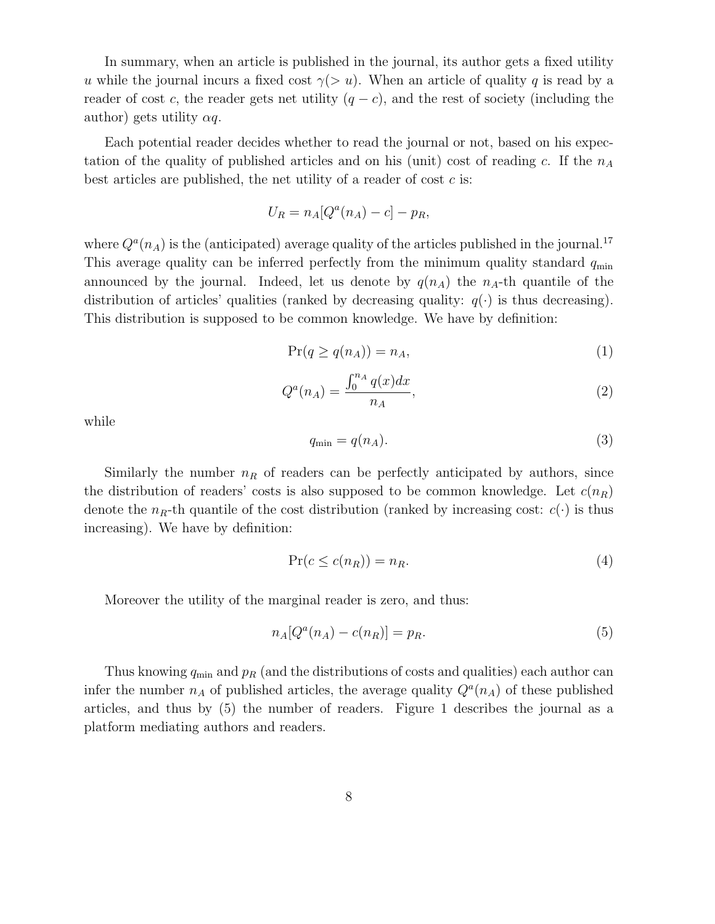In summary, when an article is published in the journal, its author gets a fixed utility u while the journal incurs a fixed cost  $\gamma(> u)$ . When an article of quality q is read by a reader of cost c, the reader gets net utility  $(q - c)$ , and the rest of society (including the author) gets utility  $\alpha q$ .

Each potential reader decides whether to read the journal or not, based on his expectation of the quality of published articles and on his (unit) cost of reading c. If the  $n_A$ best articles are published, the net utility of a reader of cost  $c$  is:

$$
U_R = n_A [Q^a(n_A) - c] - p_R,
$$

where  $Q^a(n_A)$  is the (anticipated) average quality of the articles published in the journal.<sup>17</sup> This average quality can be inferred perfectly from the minimum quality standard  $q_{\min}$ announced by the journal. Indeed, let us denote by  $q(n_A)$  the  $n_A$ -th quantile of the distribution of articles' qualities (ranked by decreasing quality:  $q(\cdot)$  is thus decreasing). This distribution is supposed to be common knowledge. We have by definition:

$$
\Pr(q \ge q(n_A)) = n_A,\tag{1}
$$

$$
Q^{a}(n_{A}) = \frac{\int_{0}^{n_{A}} q(x)dx}{n_{A}},
$$
\n(2)

while

$$
q_{\min} = q(n_A). \tag{3}
$$

Similarly the number  $n_R$  of readers can be perfectly anticipated by authors, since the distribution of readers' costs is also supposed to be common knowledge. Let  $c(n_R)$ denote the  $n_R$ -th quantile of the cost distribution (ranked by increasing cost:  $c(\cdot)$  is thus increasing). We have by definition:

$$
\Pr(c \le c(n_R)) = n_R. \tag{4}
$$

Moreover the utility of the marginal reader is zero, and thus:

$$
n_A[Q^a(n_A) - c(n_R)] = p_R. \tag{5}
$$

Thus knowing  $q_{\min}$  and  $p_R$  (and the distributions of costs and qualities) each author can infer the number  $n_A$  of published articles, the average quality  $Q^a(n_A)$  of these published articles, and thus by (5) the number of readers. Figure 1 describes the journal as a platform mediating authors and readers.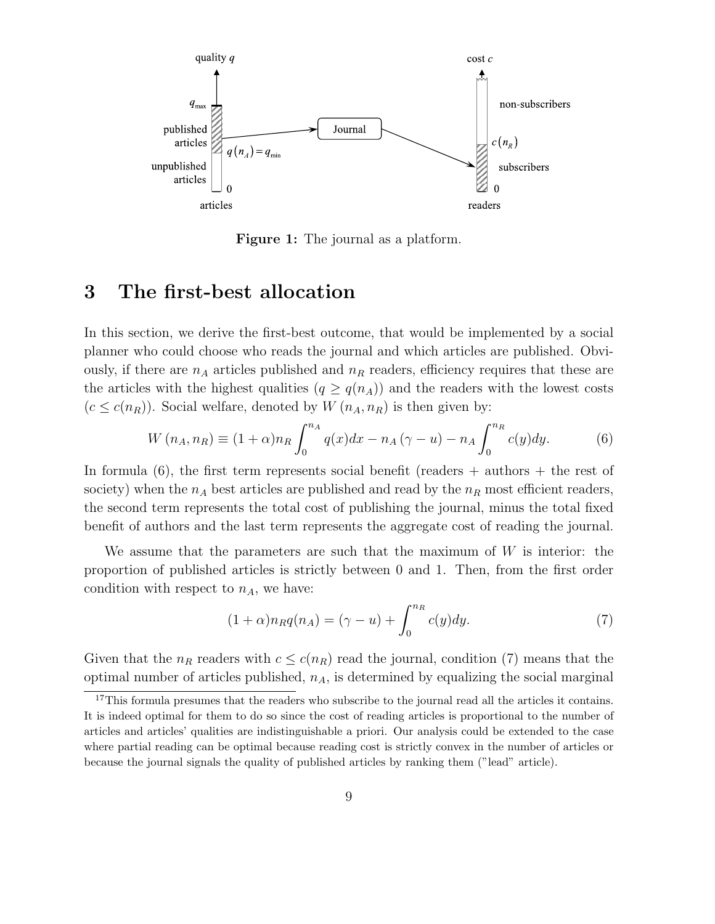

**Figure 1:** The journal as a platform.

# **3 The first-best allocation**

In this section, we derive the first-best outcome, that would be implemented by a social planner who could choose who reads the journal and which articles are published. Obviously, if there are  $n_A$  articles published and  $n_R$  readers, efficiency requires that these are the articles with the highest qualities  $(q \geq q(n_A))$  and the readers with the lowest costs  $(c \leq c(n_R))$ . Social welfare, denoted by  $W(n_A, n_R)$  is then given by:

$$
W(n_A, n_R) \equiv (1+\alpha)n_R \int_0^{n_A} q(x)dx - n_A(\gamma - u) - n_A \int_0^{n_R} c(y)dy.
$$
 (6)

In formula  $(6)$ , the first term represents social benefit (readers  $+$  authors  $+$  the rest of society) when the  $n_A$  best articles are published and read by the  $n_R$  most efficient readers, the second term represents the total cost of publishing the journal, minus the total fixed benefit of authors and the last term represents the aggregate cost of reading the journal.

We assume that the parameters are such that the maximum of  $W$  is interior: the proportion of published articles is strictly between 0 and 1. Then, from the first order condition with respect to  $n_A$ , we have:

$$
(1+\alpha)n_Rq(n_A) = (\gamma - u) + \int_0^{n_R} c(y)dy.
$$
 (7)

Given that the  $n_R$  readers with  $c \leq c(n_R)$  read the journal, condition (7) means that the optimal number of articles published,  $n_A$ , is determined by equalizing the social marginal

<sup>&</sup>lt;sup>17</sup>This formula presumes that the readers who subscribe to the journal read all the articles it contains. It is indeed optimal for them to do so since the cost of reading articles is proportional to the number of articles and articles' qualities are indistinguishable a priori. Our analysis could be extended to the case where partial reading can be optimal because reading cost is strictly convex in the number of articles or because the journal signals the quality of published articles by ranking them ("lead" article).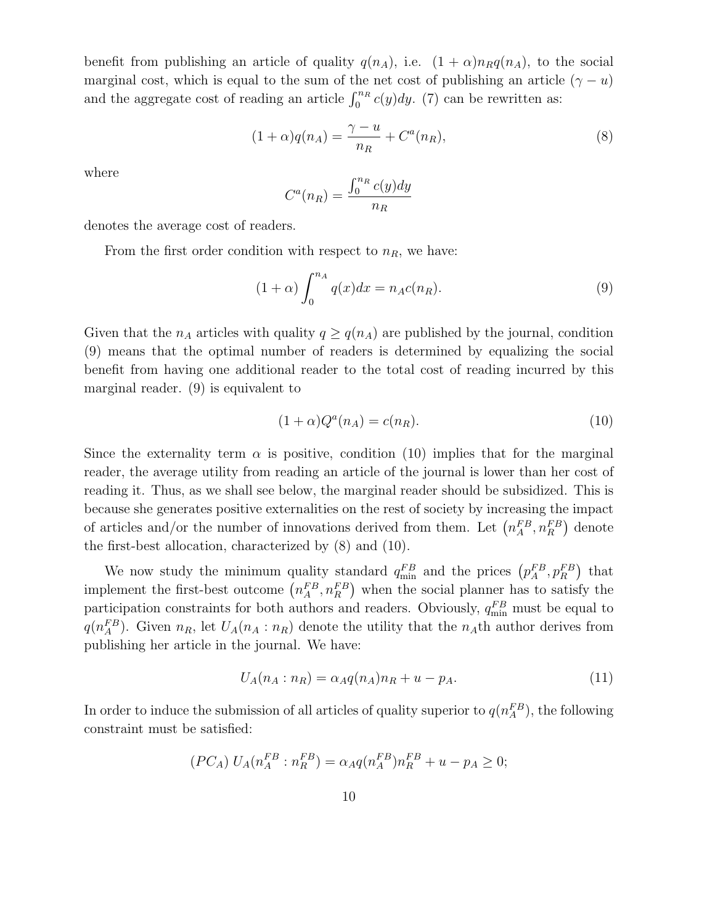benefit from publishing an article of quality  $q(n_A)$ , i.e.  $(1 + \alpha)n_Rq(n_A)$ , to the social marginal cost, which is equal to the sum of the net cost of publishing an article ( $\gamma - u$ ) and the aggregate cost of reading an article  $\int_0^{n_R} c(y) dy$ . (7) can be rewritten as:

$$
(1+\alpha)q(n_A) = \frac{\gamma - u}{n_R} + C^a(n_R), \tag{8}
$$

where

$$
C^{a}(n_{R}) = \frac{\int_{0}^{n_{R}} c(y) dy}{n_{R}}
$$

denotes the average cost of readers.

From the first order condition with respect to  $n<sub>R</sub>$ , we have:

$$
(1+\alpha)\int_0^{n_A} q(x)dx = n_A c(n_R). \tag{9}
$$

Given that the  $n_A$  articles with quality  $q \geq q(n_A)$  are published by the journal, condition (9) means that the optimal number of readers is determined by equalizing the social benefit from having one additional reader to the total cost of reading incurred by this marginal reader. (9) is equivalent to

$$
(1+\alpha)Q^a(n_A) = c(n_R). \tag{10}
$$

Since the externality term  $\alpha$  is positive, condition (10) implies that for the marginal reader, the average utility from reading an article of the journal is lower than her cost of reading it. Thus, as we shall see below, the marginal reader should be subsidized. This is because she generates positive externalities on the rest of society by increasing the impact of articles and/or the number of innovations derived from them. Let  $\left(n_A^{FB}, n_B^{FB}\right)$  denote the first-best allocation, characterized by (8) and (10).

We now study the minimum quality standard  $q_{\min}^{FB}$  and the prices  $(p_A^{FB}, p_R^{FB})$  that implement the first-best outcome  $\left(n_A^{FB}, n_R^{FB}\right)$  when the social planner has to satisfy the participation constraints for both authors and readers. Obviously,  $q_{\min}^{FB}$  must be equal to  $q(n_A^{FB})$ . Given  $n_R$ , let  $U_A(n_A : n_R)$  denote the utility that the  $n_A$ th author derives from publishing her article in the journal. We have:

$$
U_A(n_A : n_R) = \alpha_A q(n_A) n_R + u - p_A.
$$
 (11)

In order to induce the submission of all articles of quality superior to  $q(n_A^{FB})$ , the following constraint must be satisfied:

$$
(PC_A) U_A(n_A^{FB}:n_B^{FB}) = \alpha_A q(n_A^{FB})n_B^{FB} + u - p_A \ge 0;
$$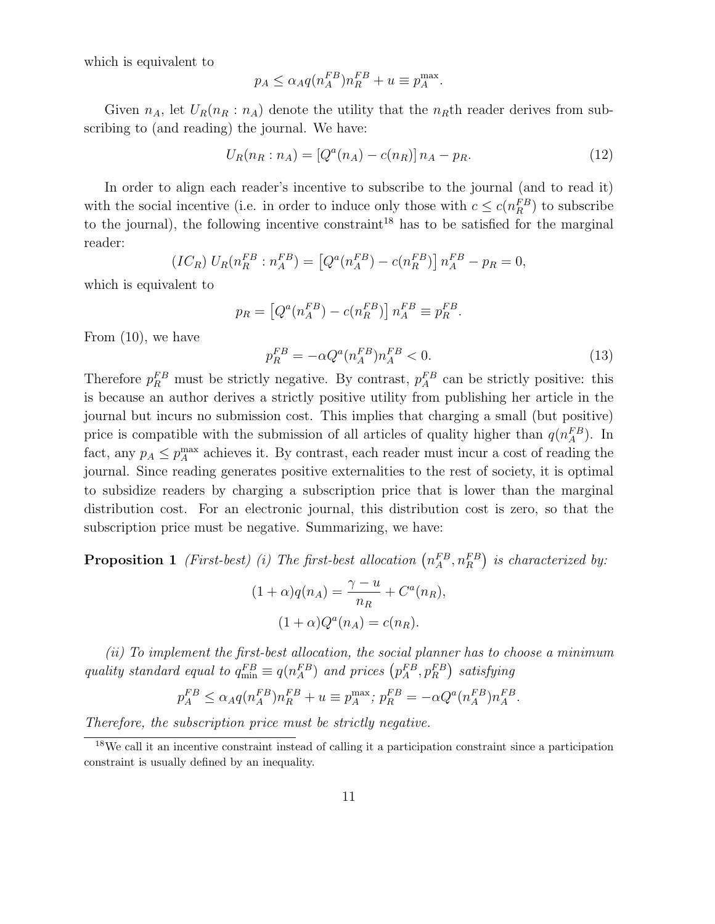which is equivalent to

$$
p_A \le \alpha_A q (n_A^{FB}) n_R^{FB} + u \equiv p_A^{\max}.
$$

Given  $n_A$ , let  $U_R(n_R : n_A)$  denote the utility that the  $n_R$ th reader derives from subscribing to (and reading) the journal. We have:

$$
U_R(n_R : n_A) = [Q^a(n_A) - c(n_R)] n_A - p_R.
$$
\n(12)

In order to align each reader's incentive to subscribe to the journal (and to read it) with the social incentive (i.e. in order to induce only those with  $c \leq c(n_R^{FB})$  to subscribe to the journal), the following incentive constraint<sup>18</sup> has to be satisfied for the marginal reader:

$$
(IC_R) U_R(n_R^{FB} : n_A^{FB}) = [Q^a(n_A^{FB}) - c(n_R^{FB})] n_A^{FB} - p_R = 0,
$$

which is equivalent to

$$
p_R = \left[Q^a(n_A^{FB}) - c(n_R^{FB})\right] n_A^{FB} \equiv p_R^{FB}.
$$

From (10), we have

$$
p_R^{FB} = -\alpha Q^a (n_A^{FB}) n_A^{FB} < 0. \tag{13}
$$

Therefore  $p_R^{FB}$  must be strictly negative. By contrast,  $p_A^{FB}$  can be strictly positive: this is because an author derives a strictly positive utility from publishing her article in the journal but incurs no submission cost. This implies that charging a small (but positive) price is compatible with the submission of all articles of quality higher than  $q(n_A^{FB})$ . In fact, any  $p_A \leq p_A^{\text{max}}$  achieves it. By contrast, each reader must incur a cost of reading the journal. Since reading generates positive externalities to the rest of society, it is optimal to subsidize readers by charging a subscription price that is lower than the marginal distribution cost. For an electronic journal, this distribution cost is zero, so that the subscription price must be negative. Summarizing, we have:

**Proposition 1** (First-best) (i) The first-best allocation  $(n_A^{FB}, n_R^{FB})$  is characterized by:

$$
(1+\alpha)q(n_A) = \frac{\gamma - u}{n_R} + C^a(n_R),
$$

$$
(1+\alpha)Q^a(n_A) = c(n_R).
$$

(ii) To implement the first-best allocation, the social planner has to choose a minimum quality standard equal to  $q_{\min}^{FB} \equiv q(n_A^{FB})$  and prices  $(p_A^{FB}, p_B^{FB})$  satisfying

$$
p_A^{FB} \le \alpha_A q (n_A^{FB}) n_R^{FB} + u \equiv p_A^{\max}; \ p_R^{FB} = -\alpha Q^a (n_A^{FB}) n_A^{FB}.
$$

Therefore, the subscription price must be strictly negative.

<sup>18</sup>We call it an incentive constraint instead of calling it a participation constraint since a participation constraint is usually defined by an inequality.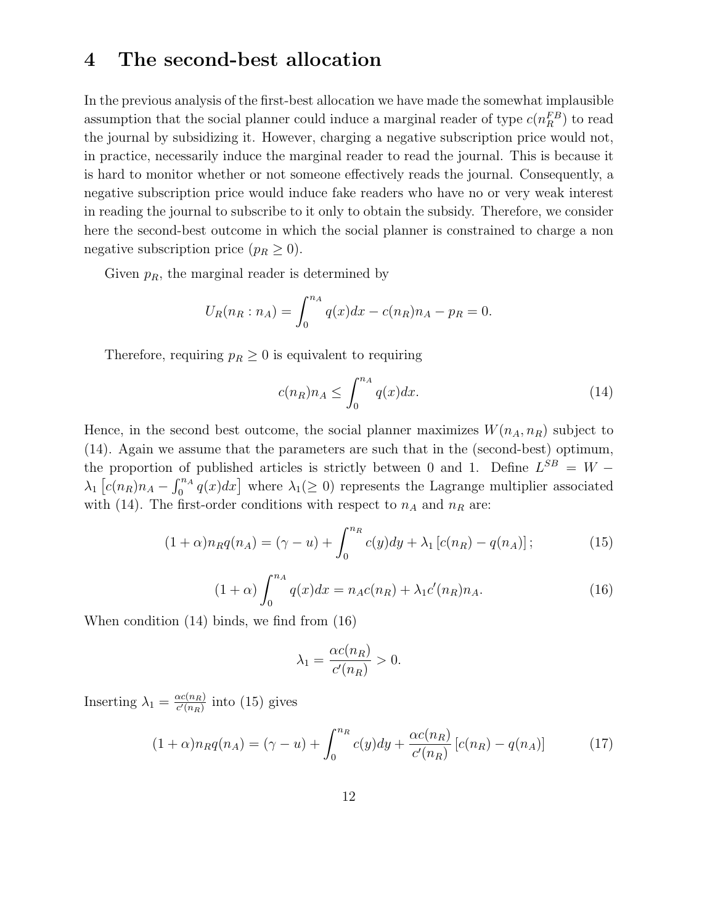# **4 The second-best allocation**

In the previous analysis of the first-best allocation we have made the somewhat implausible assumption that the social planner could induce a marginal reader of type  $c(n_R^{FB})$  to read the journal by subsidizing it. However, charging a negative subscription price would not, in practice, necessarily induce the marginal reader to read the journal. This is because it is hard to monitor whether or not someone effectively reads the journal. Consequently, a negative subscription price would induce fake readers who have no or very weak interest in reading the journal to subscribe to it only to obtain the subsidy. Therefore, we consider here the second-best outcome in which the social planner is constrained to charge a non negative subscription price  $(p_R \geq 0)$ .

Given  $p_R$ , the marginal reader is determined by

$$
U_R(n_R : n_A) = \int_0^{n_A} q(x) dx - c(n_R) n_A - p_R = 0.
$$

Therefore, requiring  $p_R \geq 0$  is equivalent to requiring

$$
c(n_R)n_A \le \int_0^{n_A} q(x)dx.
$$
\n(14)

Hence, in the second best outcome, the social planner maximizes  $W(n_A, n_R)$  subject to (14). Again we assume that the parameters are such that in the (second-best) optimum, the proportion of published articles is strictly between 0 and 1. Define  $L^{SB} = W \lambda_1$  [ $c(n_R)n_A - \int_0^{n_A} q(x)dx$ ] where  $\lambda_1(\geq 0)$  represents the Lagrange multiplier associated with (14). The first-order conditions with respect to  $n_A$  and  $n_R$  are:

$$
(1+\alpha)n_Rq(n_A) = (\gamma - u) + \int_0^{n_R} c(y)dy + \lambda_1[c(n_R) - q(n_A)]; \qquad (15)
$$

$$
(1+\alpha)\int_0^{n_A} q(x)dx = n_A c(n_R) + \lambda_1 c'(n_R)n_A.
$$
 (16)

When condition (14) binds, we find from (16)

$$
\lambda_1 = \frac{\alpha c(n_R)}{c'(n_R)} > 0.
$$

Inserting  $\lambda_1 = \frac{\alpha c(n_R)}{c'(n_R)}$  into (15) gives

$$
(1+\alpha)n_Rq(n_A) = (\gamma - u) + \int_0^{n_R} c(y)dy + \frac{\alpha c(n_R)}{c'(n_R)} [c(n_R) - q(n_A)] \tag{17}
$$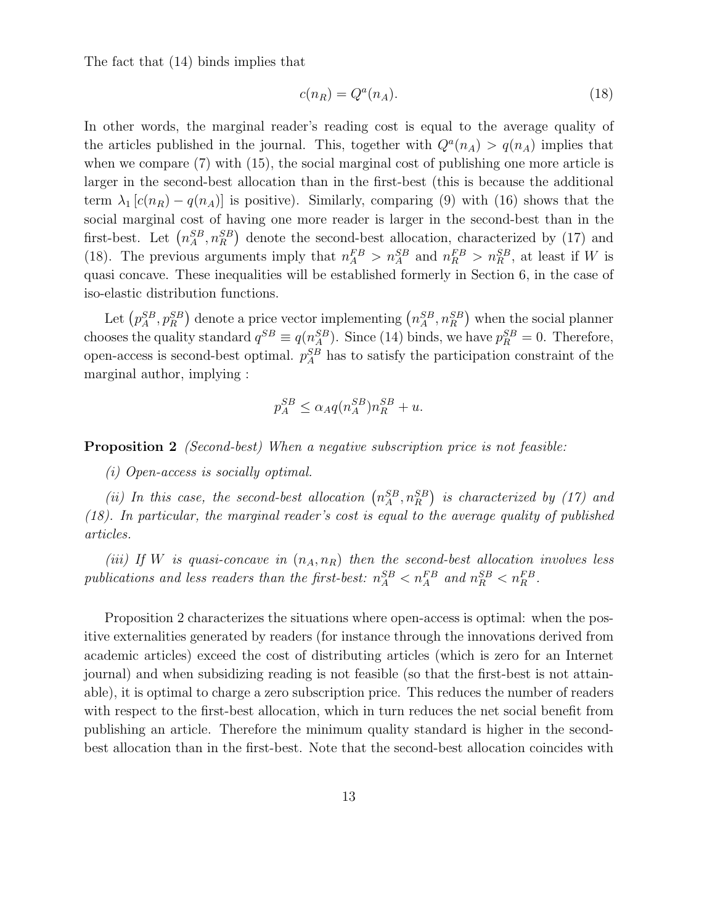The fact that (14) binds implies that

$$
c(n_R) = Q^a(n_A). \tag{18}
$$

In other words, the marginal reader's reading cost is equal to the average quality of the articles published in the journal. This, together with  $Q^{a}(n_A) > q(n_A)$  implies that when we compare  $(7)$  with  $(15)$ , the social marginal cost of publishing one more article is larger in the second-best allocation than in the first-best (this is because the additional term  $\lambda_1$  [c(n<sub>R</sub>) – q(n<sub>A</sub>)] is positive). Similarly, comparing (9) with (16) shows that the social marginal cost of having one more reader is larger in the second-best than in the first-best. Let  $(n_A^{SB}, n_B^{SB})$  denote the second-best allocation, characterized by (17) and (18). The previous arguments imply that  $n_A^{FB} > n_A^{SB}$  and  $n_R^{FB} > n_R^{SB}$ , at least if W is quasi concave. These inequalities will be established formerly in Section 6, in the case of iso-elastic distribution functions.

Let  $(p_A^{SB}, p_B^{SB})$  denote a price vector implementing  $(n_A^{SB}, n_B^{SB})$  when the social planner chooses the quality standard  $q^{SB} \equiv q(n_A^{SB})$ . Since (14) binds, we have  $p_R^{SB} = 0$ . Therefore, open-access is second-best optimal.  $p_A^{SB}$  has to satisfy the participation constraint of the marginal author, implying :

$$
p_A^{SB} \le \alpha_A q (n_A^{SB}) n_R^{SB} + u.
$$

**Proposition 2** (Second-best) When a negative subscription price is not feasible:

(i) Open-access is socially optimal.

(ii) In this case, the second-best allocation  $(n_A^{SB}, n_B^{SB})$  is characterized by (17) and (18). In particular, the marginal reader's cost is equal to the average quality of published articles.

(iii) If W is quasi-concave in  $(n_A, n_B)$  then the second-best allocation involves less publications and less readers than the first-best:  $n_A^{SB} < n_A^{FB}$  and  $n_R^{SB} < n_R^{FB}$ .

Proposition 2 characterizes the situations where open-access is optimal: when the positive externalities generated by readers (for instance through the innovations derived from academic articles) exceed the cost of distributing articles (which is zero for an Internet journal) and when subsidizing reading is not feasible (so that the first-best is not attainable), it is optimal to charge a zero subscription price. This reduces the number of readers with respect to the first-best allocation, which in turn reduces the net social benefit from publishing an article. Therefore the minimum quality standard is higher in the secondbest allocation than in the first-best. Note that the second-best allocation coincides with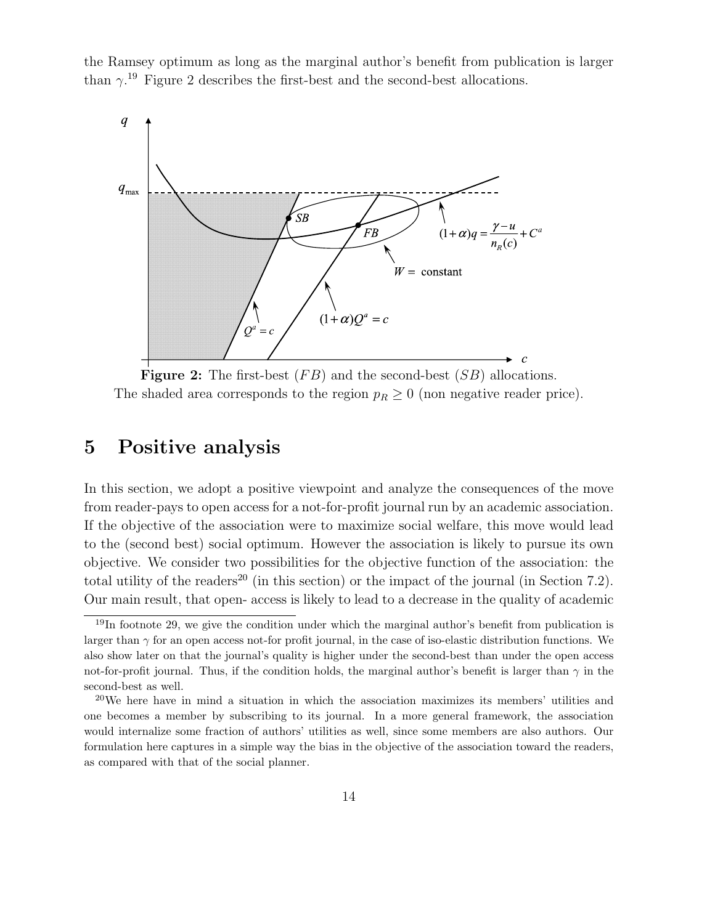the Ramsey optimum as long as the marginal author's benefit from publication is larger than  $\gamma$ <sup>19</sup> Figure 2 describes the first-best and the second-best allocations.



**Figure 2:** The first-best  $(FB)$  and the second-best  $(SB)$  allocations. The shaded area corresponds to the region  $p_R \geq 0$  (non negative reader price).

# **5 Positive analysis**

In this section, we adopt a positive viewpoint and analyze the consequences of the move from reader-pays to open access for a not-for-profit journal run by an academic association. If the objective of the association were to maximize social welfare, this move would lead to the (second best) social optimum. However the association is likely to pursue its own objective. We consider two possibilities for the objective function of the association: the total utility of the readers<sup>20</sup> (in this section) or the impact of the journal (in Section 7.2). Our main result, that open- access is likely to lead to a decrease in the quality of academic

 $19$ In footnote 29, we give the condition under which the marginal author's benefit from publication is larger than  $\gamma$  for an open access not-for profit journal, in the case of iso-elastic distribution functions. We also show later on that the journal's quality is higher under the second-best than under the open access not-for-profit journal. Thus, if the condition holds, the marginal author's benefit is larger than  $\gamma$  in the second-best as well.

 $20$ We here have in mind a situation in which the association maximizes its members' utilities and one becomes a member by subscribing to its journal. In a more general framework, the association would internalize some fraction of authors' utilities as well, since some members are also authors. Our formulation here captures in a simple way the bias in the objective of the association toward the readers, as compared with that of the social planner.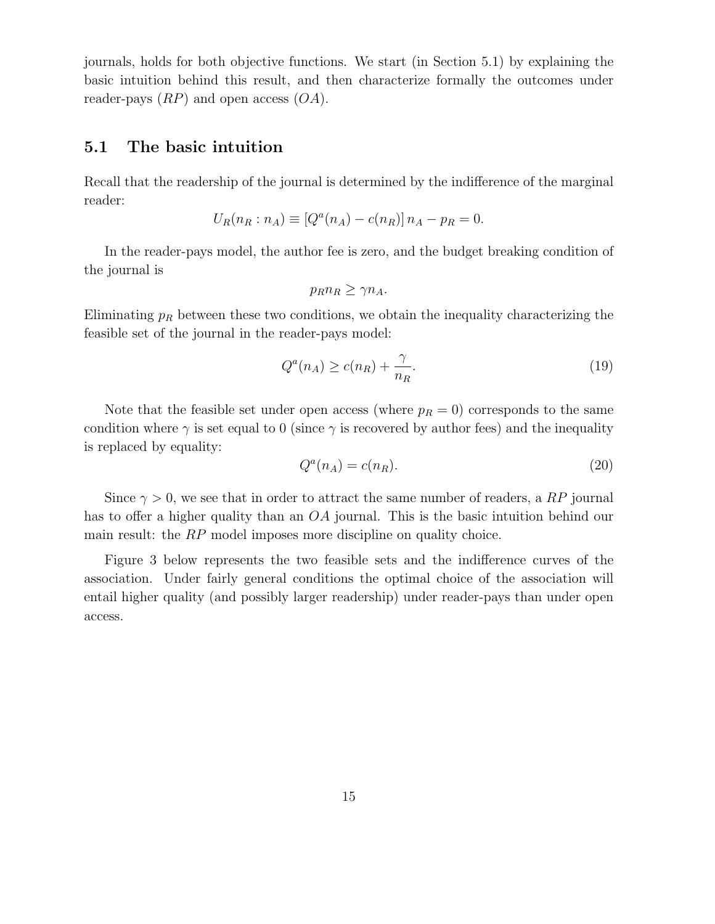journals, holds for both objective functions. We start (in Section 5.1) by explaining the basic intuition behind this result, and then characterize formally the outcomes under reader-pays  $(RP)$  and open access  $(OA)$ .

### **5.1 The basic intuition**

Recall that the readership of the journal is determined by the indifference of the marginal reader:

$$
U_R(n_R : n_A) \equiv [Q^a(n_A) - c(n_R)] n_A - p_R = 0.
$$

In the reader-pays model, the author fee is zero, and the budget breaking condition of the journal is

$$
p_R n_R \ge \gamma n_A.
$$

Eliminating  $p_R$  between these two conditions, we obtain the inequality characterizing the feasible set of the journal in the reader-pays model:

$$
Q^{a}(n_A) \ge c(n_R) + \frac{\gamma}{n_R}.\tag{19}
$$

Note that the feasible set under open access (where  $p_R = 0$ ) corresponds to the same condition where  $\gamma$  is set equal to 0 (since  $\gamma$  is recovered by author fees) and the inequality is replaced by equality:

$$
Q^a(n_A) = c(n_R). \tag{20}
$$

Since  $\gamma > 0$ , we see that in order to attract the same number of readers, a RP journal has to offer a higher quality than an OA journal. This is the basic intuition behind our main result: the RP model imposes more discipline on quality choice.

Figure 3 below represents the two feasible sets and the indifference curves of the association. Under fairly general conditions the optimal choice of the association will entail higher quality (and possibly larger readership) under reader-pays than under open access.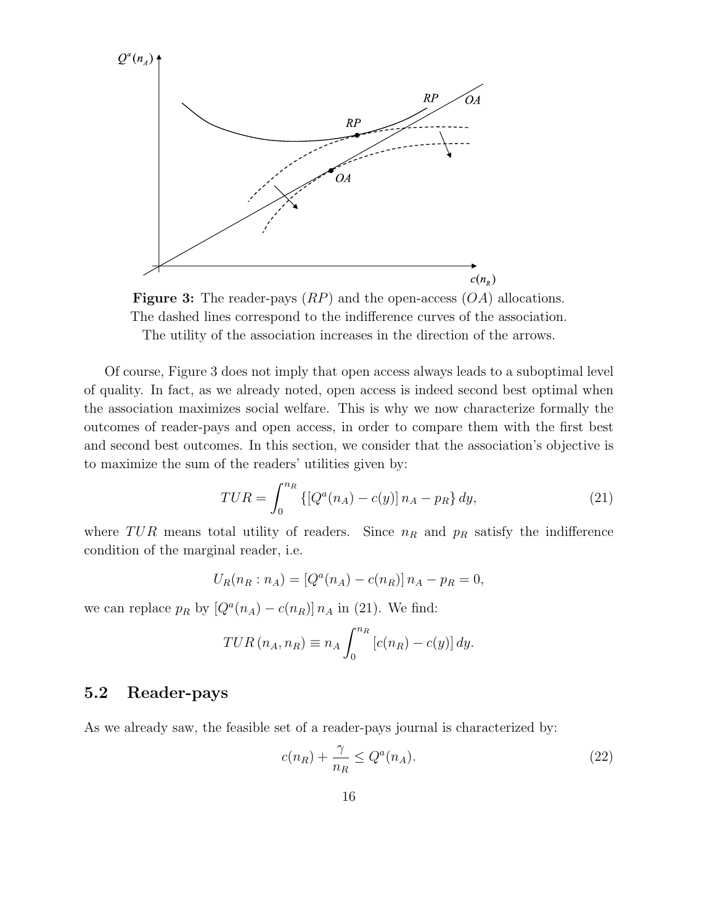



Of course, Figure 3 does not imply that open access always leads to a suboptimal level of quality. In fact, as we already noted, open access is indeed second best optimal when the association maximizes social welfare. This is why we now characterize formally the outcomes of reader-pays and open access, in order to compare them with the first best and second best outcomes. In this section, we consider that the association's objective is to maximize the sum of the readers' utilities given by:

$$
TUR = \int_0^{n_R} \{ [Q^a(n_A) - c(y)] n_A - p_R \} dy,
$$
\n(21)

where TUR means total utility of readers. Since  $n_R$  and  $p_R$  satisfy the indifference condition of the marginal reader, i.e.

$$
U_R(n_R : n_A) = [Q^a(n_A) - c(n_R)] n_A - p_R = 0,
$$

we can replace  $p_R$  by  $[Q^a(n_A) - c(n_R)] n_A$  in (21). We find:

$$
TUR(n_A, n_R) \equiv n_A \int_0^{n_R} \left[c(n_R) - c(y)\right] dy.
$$

## **5.2 Reader-pays**

As we already saw, the feasible set of a reader-pays journal is characterized by:

$$
c(n_R) + \frac{\gamma}{n_R} \le Q^a(n_A). \tag{22}
$$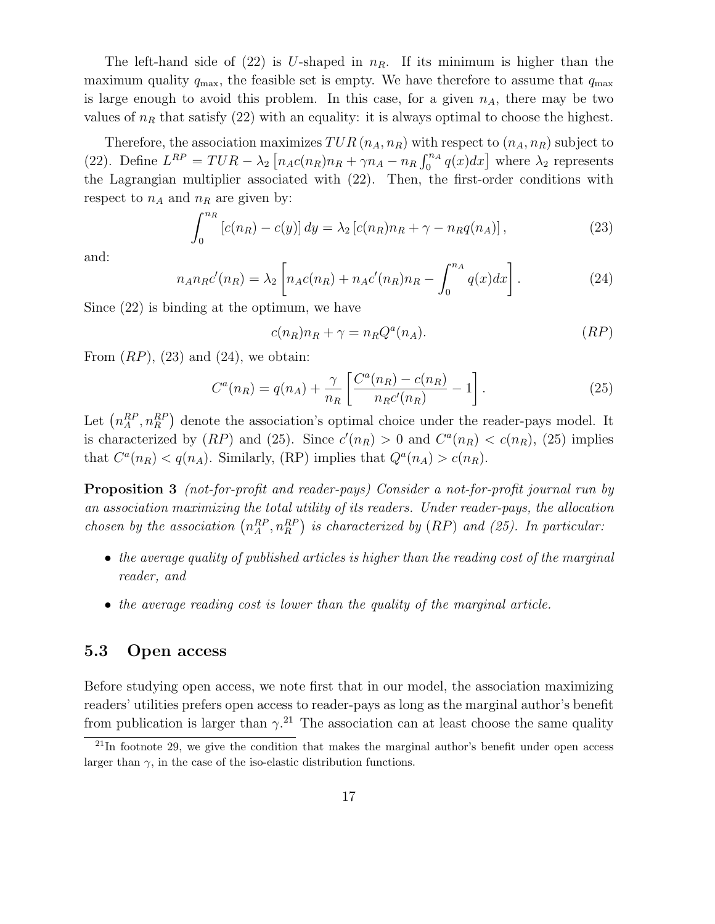The left-hand side of (22) is U-shaped in  $n_R$ . If its minimum is higher than the maximum quality  $q_{\text{max}}$ , the feasible set is empty. We have therefore to assume that  $q_{\text{max}}$ is large enough to avoid this problem. In this case, for a given  $n_A$ , there may be two values of  $n_R$  that satisfy (22) with an equality: it is always optimal to choose the highest.

Therefore, the association maximizes  $TUR(n_A, n_R)$  with respect to  $(n_A, n_R)$  subject to (22). Define  $L^{RP} = TUR - \lambda_2 \left[ n_A c(n_R) n_R + \gamma n_A - n_R \int_0^{n_A} q(x) dx \right]$  where  $\lambda_2$  represents the Lagrangian multiplier associated with (22). Then, the first-order conditions with respect to  $n_A$  and  $n_R$  are given by:

$$
\int_0^{n_R} [c(n_R) - c(y)] dy = \lambda_2 [c(n_R) n_R + \gamma - n_R q(n_A)], \qquad (23)
$$

and:

$$
n_A n_R c'(n_R) = \lambda_2 \left[ n_A c(n_R) + n_A c'(n_R) n_R - \int_0^{n_A} q(x) dx \right].
$$
 (24)

Since (22) is binding at the optimum, we have

$$
c(n_R)n_R + \gamma = n_R Q^a(n_A). \tag{RP}
$$

From  $(RP)$ ,  $(23)$  and  $(24)$ , we obtain:

$$
C^{a}(n_{R}) = q(n_{A}) + \frac{\gamma}{n_{R}} \left[ \frac{C^{a}(n_{R}) - c(n_{R})}{n_{R}c'(n_{R})} - 1 \right].
$$
 (25)

Let  $\left(n_A^{RP}, n_B^{RP}\right)$  denote the association's optimal choice under the reader-pays model. It is characterized by  $(RP)$  and  $(25)$ . Since  $c'(n_R) > 0$  and  $C^a(n_R) < c(n_R)$ ,  $(25)$  implies that  $C^a(n_R) < q(n_A)$ . Similarly, (RP) implies that  $Q^a(n_A) > c(n_R)$ .

**Proposition 3** (not-for-profit and reader-pays) Consider a not-for-profit journal run by an association maximizing the total utility of its readers. Under reader-pays, the allocation chosen by the association  $\left(n_A^{RP}, n_R^{RP}\right)$  is characterized by  $(RP)$  and  $(25)$ . In particular:

- the average quality of published articles is higher than the reading cost of the marginal reader, and
- the average reading cost is lower than the quality of the marginal article.

### **5.3 Open access**

Before studying open access, we note first that in our model, the association maximizing readers' utilities prefers open access to reader-pays as long as the marginal author's benefit from publication is larger than  $\gamma$ <sup>21</sup>. The association can at least choose the same quality

 $^{21}$ In footnote 29, we give the condition that makes the marginal author's benefit under open access larger than  $\gamma$ , in the case of the iso-elastic distribution functions.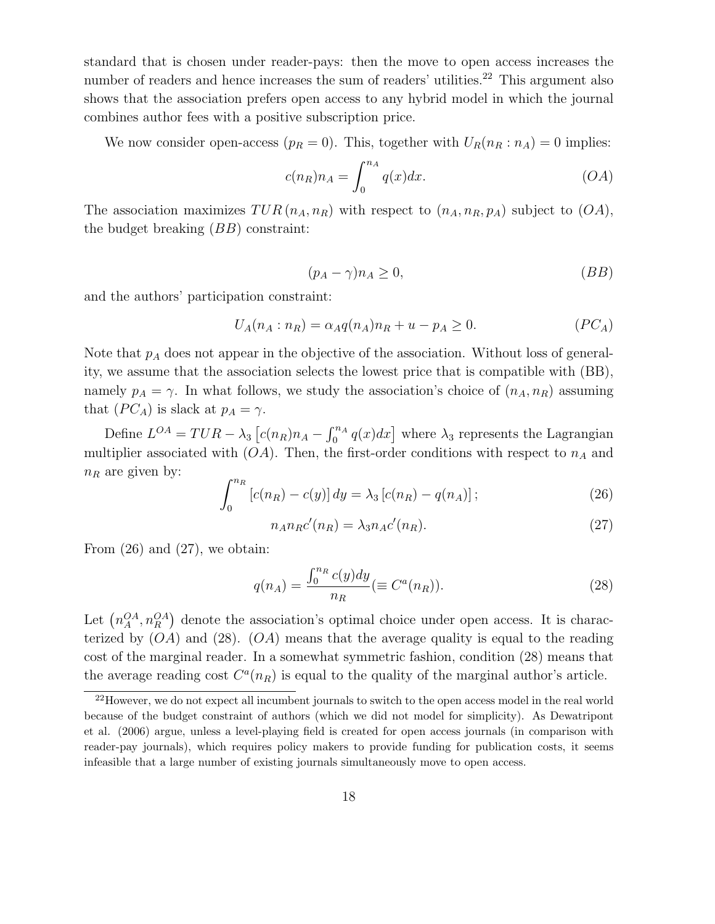standard that is chosen under reader-pays: then the move to open access increases the number of readers and hence increases the sum of readers' utilities.<sup>22</sup> This argument also shows that the association prefers open access to any hybrid model in which the journal combines author fees with a positive subscription price.

We now consider open-access  $(p_R = 0)$ . This, together with  $U_R(n_R : n_A) = 0$  implies:

$$
c(n_R)n_A = \int_0^{n_A} q(x)dx.
$$
 (OA)

The association maximizes  $TUR(n_A, n_R)$  with respect to  $(n_A, n_R, p_A)$  subject to  $(OA)$ , the budget breaking  $(BB)$  constraint:

$$
(p_A - \gamma)n_A \ge 0,\t\t(BB)
$$

and the authors' participation constraint:

$$
U_A(n_A : n_R) = \alpha_A q(n_A) n_R + u - p_A \ge 0.
$$
 (PC<sub>A</sub>)

Note that  $p_A$  does not appear in the objective of the association. Without loss of generality, we assume that the association selects the lowest price that is compatible with (BB), namely  $p_A = \gamma$ . In what follows, we study the association's choice of  $(n_A, n_B)$  assuming that  $(PC_A)$  is slack at  $p_A = \gamma$ .

Define  $L^{OA} = TUR - \lambda_3 \left[ c(n_R)n_A - \int_0^{n_A} q(x)dx \right]$  where  $\lambda_3$  represents the Lagrangian multiplier associated with  $(OA)$ . Then, the first-order conditions with respect to  $n_A$  and  $n_R$  are given by:

$$
\int_0^{n_R} [c(n_R) - c(y)] dy = \lambda_3 [c(n_R) - q(n_A)]; \qquad (26)
$$

$$
n_A n_R c'(n_R) = \lambda_3 n_A c'(n_R). \tag{27}
$$

From  $(26)$  and  $(27)$ , we obtain:

$$
q(n_A) = \frac{\int_0^{n_R} c(y) dy}{n_R} (\equiv C^a(n_R)).
$$
\n(28)

Let  $\left(n_A^{OA}, n_R^{OA}\right)$  denote the association's optimal choice under open access. It is characterized by  $(OA)$  and  $(28)$ .  $(OA)$  means that the average quality is equal to the reading cost of the marginal reader. In a somewhat symmetric fashion, condition (28) means that the average reading cost  $C^a(n_R)$  is equal to the quality of the marginal author's article.

<sup>&</sup>lt;sup>22</sup>However, we do not expect all incumbent journals to switch to the open access model in the real world because of the budget constraint of authors (which we did not model for simplicity). As Dewatripont et al. (2006) argue, unless a level-playing field is created for open access journals (in comparison with reader-pay journals), which requires policy makers to provide funding for publication costs, it seems infeasible that a large number of existing journals simultaneously move to open access.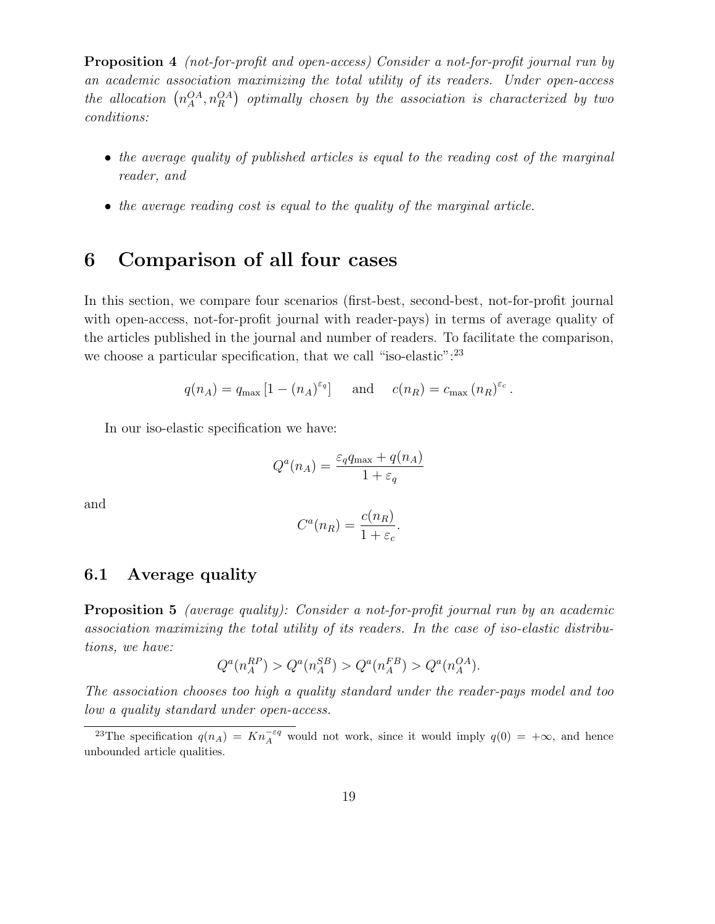**Proposition 4** (not-for-profit and open-access) Consider a not-for-profit journal run by an academic association maximizing the total utility of its readers. Under open-access the allocation  $\left(n_A^{OA}, n_R^{OA}\right)$  optimally chosen by the association is characterized by two conditions:

- the average quality of published articles is equal to the reading cost of the marginal reader, and
- the average reading cost is equal to the quality of the marginal article.

# **6 Comparison of all four cases**

In this section, we compare four scenarios (first-best, second-best, not-for-profit journal with open-access, not-for-profit journal with reader-pays) in terms of average quality of the articles published in the journal and number of readers. To facilitate the comparison, we choose a particular specification, that we call "iso-elastic":<sup>23</sup>

$$
q(n_A) = q_{\text{max}} [1 - (n_A)^{\varepsilon_q}]
$$
 and  $c(n_R) = c_{\text{max}} (n_R)^{\varepsilon_c}$ .

In our iso-elastic specification we have:

$$
Q^{a}(n_A) = \frac{\varepsilon_q q_{\max} + q(n_A)}{1 + \varepsilon_q}
$$

and

$$
C^{a}(n_{R}) = \frac{c(n_{R})}{1 + \varepsilon_{c}}.
$$

### **6.1 Average quality**

**Proposition 5** (average quality): Consider a not-for-profit journal run by an academic association maximizing the total utility of its readers. In the case of iso-elastic distributions, we have:

$$
Q^{a}(n_{A}^{RP}) > Q^{a}(n_{A}^{SB}) > Q^{a}(n_{A}^{FB}) > Q^{a}(n_{A}^{OA}).
$$

The association chooses too high a quality standard under the reader-pays model and too low a quality standard under open-access.

<sup>&</sup>lt;sup>23</sup>The specification  $q(n_A) = Kn_A^{-\epsilon q}$  would not work, since it would imply  $q(0) = +\infty$ , and hence unbounded article qualities.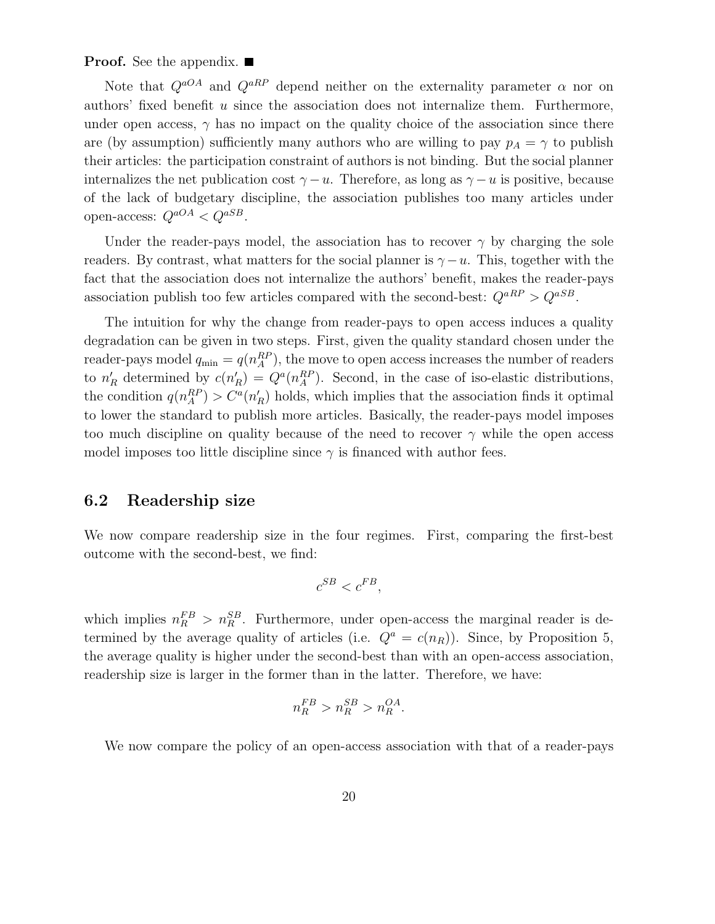**Proof.** See the appendix. ■

Note that  $Q^{aO}$  and  $Q^{aRP}$  depend neither on the externality parameter  $\alpha$  nor on authors' fixed benefit u since the association does not internalize them. Furthermore, under open access,  $\gamma$  has no impact on the quality choice of the association since there are (by assumption) sufficiently many authors who are willing to pay  $p_A = \gamma$  to publish their articles: the participation constraint of authors is not binding. But the social planner internalizes the net publication cost  $\gamma - u$ . Therefore, as long as  $\gamma - u$  is positive, because of the lack of budgetary discipline, the association publishes too many articles under open-access:  $Q^{aOA} < Q^{aSB}$ .

Under the reader-pays model, the association has to recover  $\gamma$  by charging the sole readers. By contrast, what matters for the social planner is  $\gamma - u$ . This, together with the fact that the association does not internalize the authors' benefit, makes the reader-pays association publish too few articles compared with the second-best:  $Q^{aRP} > Q^{aSB}$ .

The intuition for why the change from reader-pays to open access induces a quality degradation can be given in two steps. First, given the quality standard chosen under the reader-pays model  $q_{\min} = q(n_A^{RP})$ , the move to open access increases the number of readers to  $n_R'$  determined by  $c(n_R') = Q^a(n_A^{RP})$ . Second, in the case of iso-elastic distributions, the condition  $q(n_A^{RP}) > C^a(n'_R)$  holds, which implies that the association finds it optimal to lower the standard to publish more articles. Basically, the reader-pays model imposes too much discipline on quality because of the need to recover  $\gamma$  while the open access model imposes too little discipline since  $\gamma$  is financed with author fees.

### **6.2 Readership size**

We now compare readership size in the four regimes. First, comparing the first-best outcome with the second-best, we find:

$$
c^{SB} < c^{FB},
$$

which implies  $n_R^{FB} > n_R^{SB}$ . Furthermore, under open-access the marginal reader is determined by the average quality of articles (i.e.  $Q^a = c(n_R)$ ). Since, by Proposition 5, the average quality is higher under the second-best than with an open-access association, readership size is larger in the former than in the latter. Therefore, we have:

$$
n_R^{FB} > n_R^{SB} > n_R^{OA}.
$$

We now compare the policy of an open-access association with that of a reader-pays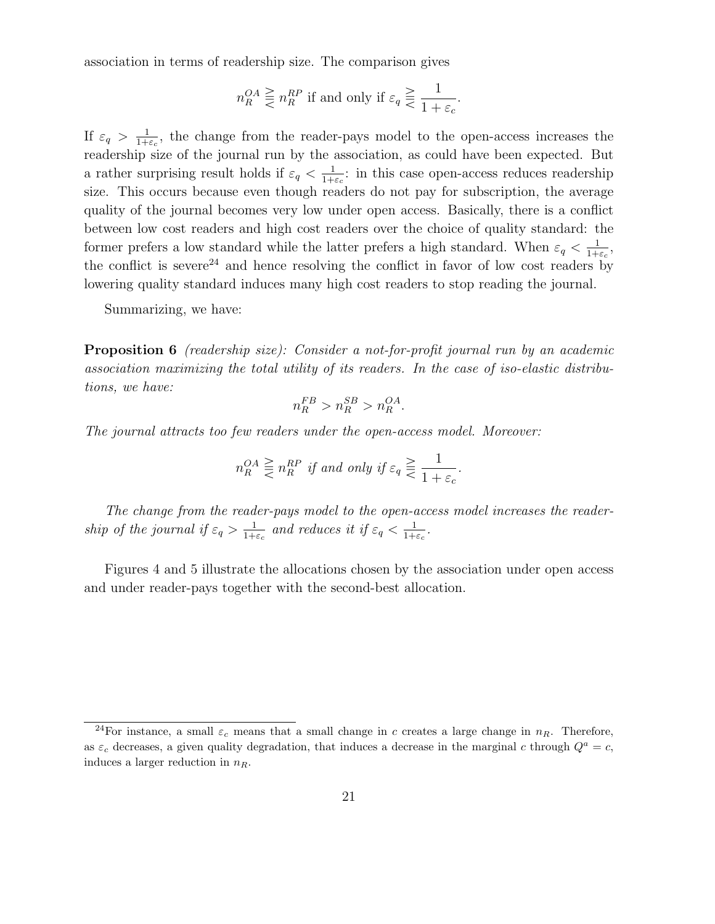association in terms of readership size. The comparison gives

$$
n_R^{OA} \geq n_R^{RP} \text{ if and only if } \varepsilon_q \geq \frac{1}{1 + \varepsilon_c}.
$$

If  $\varepsilon_q > \frac{1}{1+\varepsilon_c}$ , the change from the reader-pays model to the open-access increases the readership size of the journal run by the association, as could have been expected. But a rather surprising result holds if  $\varepsilon_q < \frac{1}{1+\varepsilon_q}$ : in this case open-access reduces readership size. This occurs because even though readers do not pay for subscription, the average quality of the journal becomes very low under open access. Basically, there is a conflict between low cost readers and high cost readers over the choice of quality standard: the former prefers a low standard while the latter prefers a high standard. When  $\varepsilon_q < \frac{1}{1+\varepsilon_c}$ , the conflict is severe<sup>24</sup> and hence resolving the conflict in favor of low cost readers by lowering quality standard induces many high cost readers to stop reading the journal.

Summarizing, we have:

**Proposition 6** (readership size): Consider a not-for-profit journal run by an academic association maximizing the total utility of its readers. In the case of iso-elastic distributions, we have:

$$
n_R^{FB} > n_R^{SB} > n_R^{OA}.
$$

The journal attracts too few readers under the open-access model. Moreover:

$$
n_R^{OA} \geq n_R^{RP} \text{ if and only if } \varepsilon_q \geq \frac{1}{1 + \varepsilon_c}.
$$

The change from the reader-pays model to the open-access model increases the readership of the journal if  $\varepsilon_q > \frac{1}{1+\varepsilon_c}$  and reduces it if  $\varepsilon_q < \frac{1}{1+\varepsilon_c}$ .

Figures 4 and 5 illustrate the allocations chosen by the association under open access and under reader-pays together with the second-best allocation.

<sup>&</sup>lt;sup>24</sup>For instance, a small  $\varepsilon_c$  means that a small change in c creates a large change in  $n_R$ . Therefore, as  $\varepsilon_c$  decreases, a given quality degradation, that induces a decrease in the marginal c through  $Q^a = c$ , induces a larger reduction in  $n_R$ .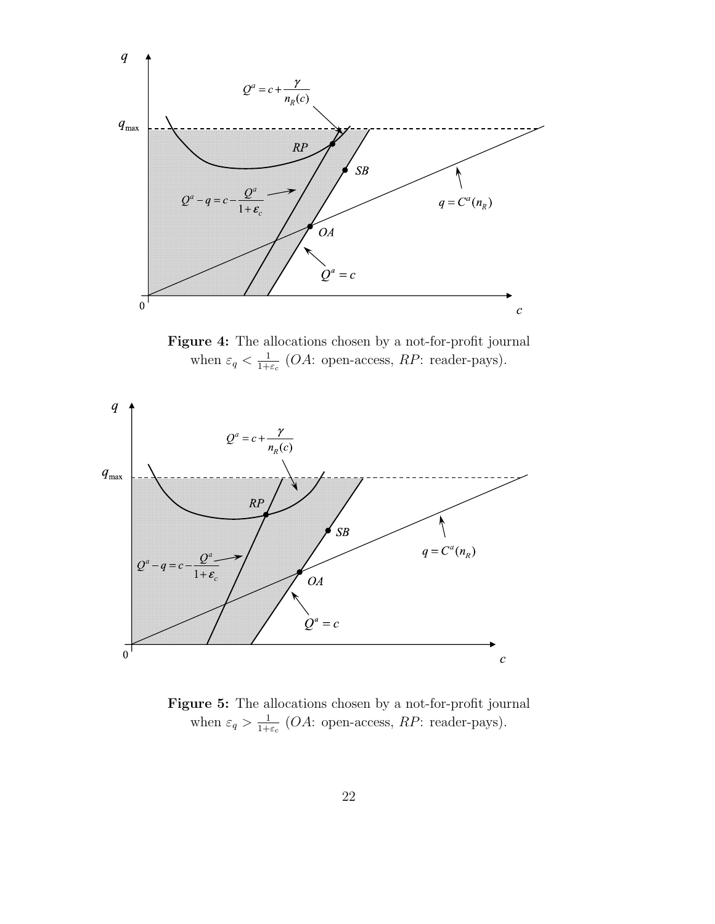

**Figure 4:** The allocations chosen by a not-for-profit journal when  $\varepsilon_q < \frac{1}{1+\varepsilon_c}$  (*OA*: open-access, *RP*: reader-pays).



**Figure 5:** The allocations chosen by a not-for-profit journal when  $\varepsilon_q > \frac{1}{1+\varepsilon_c}$  (*OA*: open-access, *RP*: reader-pays).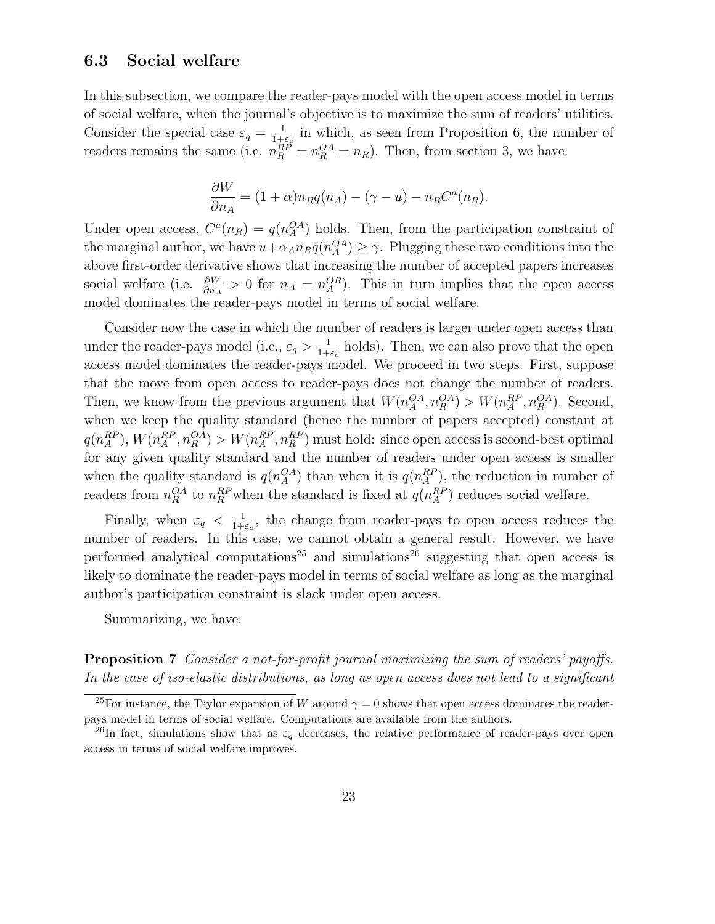### **6.3 Social welfare**

In this subsection, we compare the reader-pays model with the open access model in terms of social welfare, when the journal's objective is to maximize the sum of readers' utilities. Consider the special case  $\varepsilon_q = \frac{1}{1+\varepsilon_q}$  in which, as seen from Proposition 6, the number of readers remains the same (i.e.  $n_R^{\overleftrightarrow{RP}} = n_R^{\overleftrightarrow{OA}} = n_R$ ). Then, from section 3, we have:

$$
\frac{\partial W}{\partial n_A} = (1 + \alpha) n_R q(n_A) - (\gamma - u) - n_R C^a(n_R).
$$

Under open access,  $C^a(n_R) = q(n_A^{OA})$  holds. Then, from the participation constraint of the marginal author, we have  $u + \alpha_A n_R q(n_A^{OA}) \ge \gamma$ . Plugging these two conditions into the above first-order derivative shows that increasing the number of accepted papers increases social welfare (i.e.  $\frac{\partial W}{\partial n_A} > 0$  for  $n_A = n_A^{OR}$ ). This in turn implies that the open access model dominates the reader-pays model in terms of social welfare.

Consider now the case in which the number of readers is larger under open access than under the reader-pays model (i.e.,  $\varepsilon_q > \frac{1}{1+\varepsilon_c}$  holds). Then, we can also prove that the open access model dominates the reader-pays model. We proceed in two steps. First, suppose that the move from open access to reader-pays does not change the number of readers. Then, we know from the previous argument that  $W(n_A^{OA}, n_R^{OA}) > W(n_A^{RP}, n_R^{OA})$ . Second, when we keep the quality standard (hence the number of papers accepted) constant at  $q(n_A^{RP}), W(n_A^{RP}, n_B^{OA}) > W(n_A^{RP}, n_B^{RP})$  must hold: since open access is second-best optimal for any given quality standard and the number of readers under open access is smaller when the quality standard is  $q(n_A^{OA})$  than when it is  $q(n_A^{RP})$ , the reduction in number of readers from  $n_R^{OA}$  to  $n_R^{RP}$  when the standard is fixed at  $q(n_A^{RP})$  reduces social welfare.

Finally, when  $\varepsilon_q < \frac{1}{1+\varepsilon_q}$ , the change from reader-pays to open access reduces the number of readers. In this case, we cannot obtain a general result. However, we have performed analytical computations<sup>25</sup> and simulations<sup>26</sup> suggesting that open access is likely to dominate the reader-pays model in terms of social welfare as long as the marginal author's participation constraint is slack under open access.

Summarizing, we have:

### **Proposition 7** Consider a not-for-profit journal maximizing the sum of readers' payoffs. In the case of iso-elastic distributions, as long as open access does not lead to a significant

<sup>&</sup>lt;sup>25</sup>For instance, the Taylor expansion of W around  $\gamma = 0$  shows that open access dominates the readerpays model in terms of social welfare. Computations are available from the authors.

<sup>&</sup>lt;sup>26</sup>In fact, simulations show that as  $\varepsilon_q$  decreases, the relative performance of reader-pays over open access in terms of social welfare improves.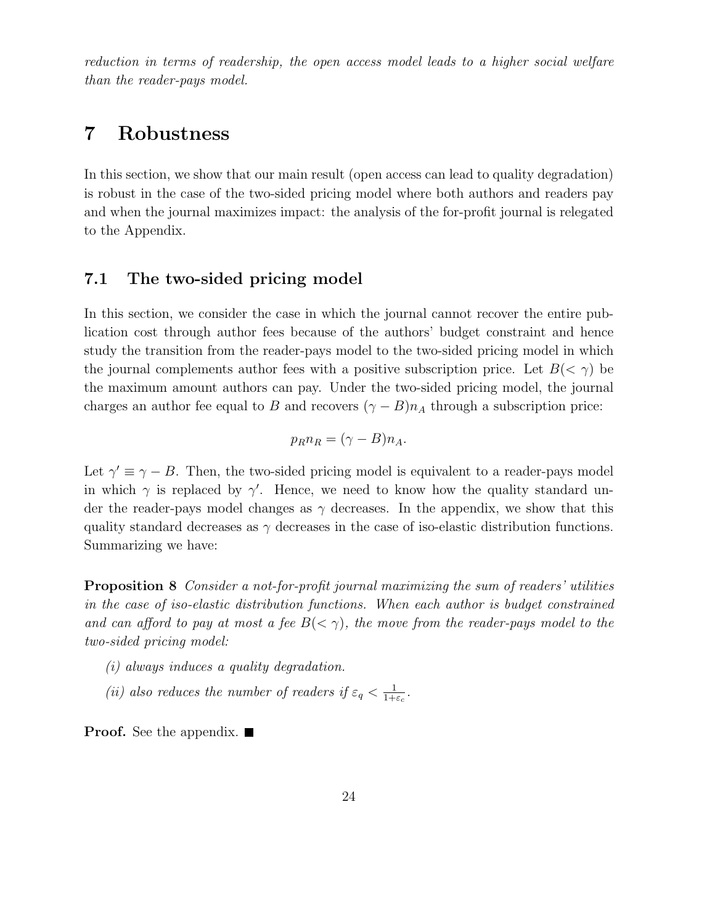reduction in terms of readership, the open access model leads to a higher social welfare than the reader-pays model.

# **7 Robustness**

In this section, we show that our main result (open access can lead to quality degradation) is robust in the case of the two-sided pricing model where both authors and readers pay and when the journal maximizes impact: the analysis of the for-profit journal is relegated to the Appendix.

### **7.1 The two-sided pricing model**

In this section, we consider the case in which the journal cannot recover the entire publication cost through author fees because of the authors' budget constraint and hence study the transition from the reader-pays model to the two-sided pricing model in which the journal complements author fees with a positive subscription price. Let  $B(< \gamma)$  be the maximum amount authors can pay. Under the two-sided pricing model, the journal charges an author fee equal to B and recovers  $(\gamma - B)n_A$  through a subscription price:

$$
p_R n_R = (\gamma - B) n_A.
$$

Let  $\gamma' \equiv \gamma - B$ . Then, the two-sided pricing model is equivalent to a reader-pays model in which  $\gamma$  is replaced by  $\gamma'$ . Hence, we need to know how the quality standard under the reader-pays model changes as  $\gamma$  decreases. In the appendix, we show that this quality standard decreases as  $\gamma$  decreases in the case of iso-elastic distribution functions. Summarizing we have:

**Proposition 8** Consider a not-for-profit journal maximizing the sum of readers' utilities in the case of iso-elastic distribution functions. When each author is budget constrained and can afford to pay at most a fee  $B(\langle \gamma \rangle)$ , the move from the reader-pays model to the two-sided pricing model:

- (i) always induces a quality degradation.
- (ii) also reduces the number of readers if  $\varepsilon_q < \frac{1}{1+\varepsilon_c}$ .

**Proof.** See the appendix. ■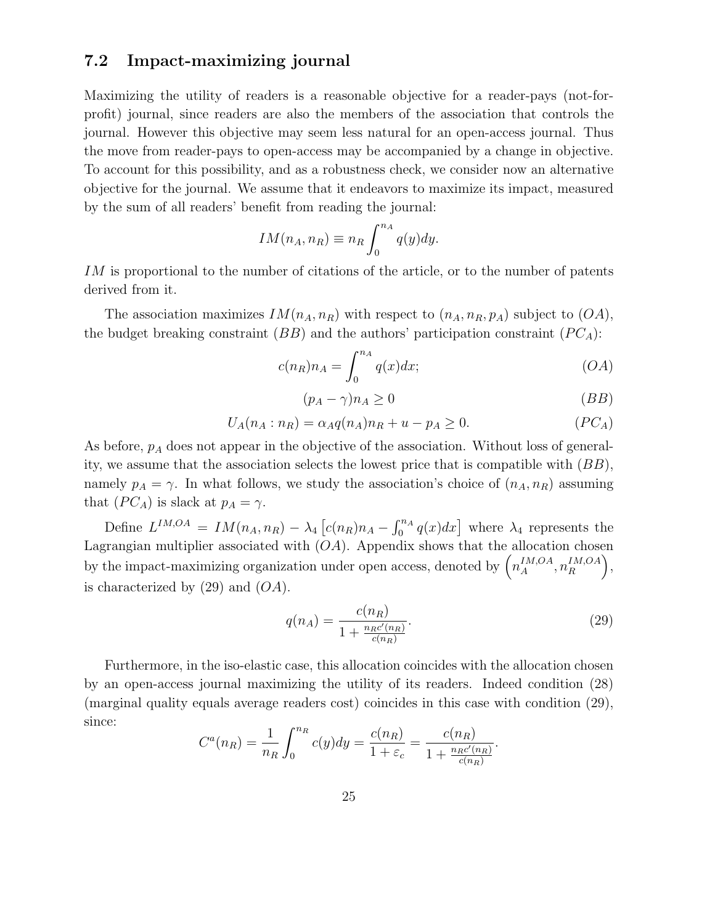### **7.2 Impact-maximizing journal**

Maximizing the utility of readers is a reasonable objective for a reader-pays (not-forprofit) journal, since readers are also the members of the association that controls the journal. However this objective may seem less natural for an open-access journal. Thus the move from reader-pays to open-access may be accompanied by a change in objective. To account for this possibility, and as a robustness check, we consider now an alternative objective for the journal. We assume that it endeavors to maximize its impact, measured by the sum of all readers' benefit from reading the journal:

$$
IM(n_A, n_R) \equiv n_R \int_0^{n_A} q(y) dy.
$$

IM is proportional to the number of citations of the article, or to the number of patents derived from it.

The association maximizes  $IM(n_A, n_R)$  with respect to  $(n_A, n_R, p_A)$  subject to  $(OA)$ , the budget breaking constraint  $(BB)$  and the authors' participation constraint  $(PC_A)$ :

$$
c(n_R)n_A = \int_0^{n_A} q(x)dx;\t\t(OA)
$$

$$
(p_A - \gamma)n_A \ge 0 \tag{BB}
$$

$$
U_A(n_A : n_R) = \alpha_A q(n_A) n_R + u - p_A \ge 0.
$$
 (PC<sub>A</sub>)

As before,  $p_A$  does not appear in the objective of the association. Without loss of generality, we assume that the association selects the lowest price that is compatible with  $(BB)$ , namely  $p_A = \gamma$ . In what follows, we study the association's choice of  $(n_A, n_R)$  assuming that  $(PC_A)$  is slack at  $p_A = \gamma$ .

Define  $L^{IM,OA} = IM(n_A, n_R) - \lambda_4 [c(n_R)n_A - \int_0^{n_A} q(x)dx]$  where  $\lambda_4$  represents the Lagrangian multiplier associated with  $(OA)$ . Appendix shows that the allocation chosen by the impact-maximizing organization under open access, denoted by  $\left(n_A^{IM,OA}, n_R^{IM,OA}\right)$  $\big),$ is characterized by  $(29)$  and  $(OA)$ .

$$
q(n_A) = \frac{c(n_R)}{1 + \frac{n_R c'(n_R)}{c(n_R)}}.\t(29)
$$

Furthermore, in the iso-elastic case, this allocation coincides with the allocation chosen by an open-access journal maximizing the utility of its readers. Indeed condition (28) (marginal quality equals average readers cost) coincides in this case with condition (29), since:

$$
C^{a}(n_{R}) = \frac{1}{n_{R}} \int_{0}^{n_{R}} c(y) dy = \frac{c(n_{R})}{1 + \varepsilon_{c}} = \frac{c(n_{R})}{1 + \frac{n_{R}c'(n_{R})}{c(n_{R})}}.
$$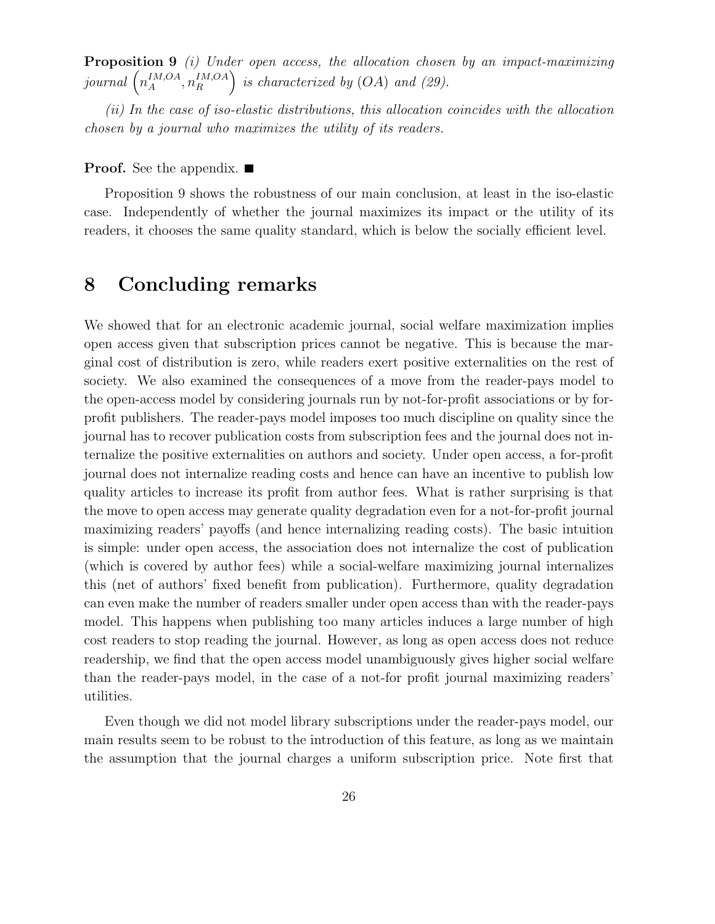**Proposition 9** (i) Under open access, the allocation chosen by an impact-maximizing  ${\it journal}$   $\left(n_A^{IM,OA}, n_R^{IM,OA}\right)$ ) is characterized by  $(OA)$  and  $(29)$ .

(ii) In the case of iso-elastic distributions, this allocation coincides with the allocation chosen by a journal who maximizes the utility of its readers.

#### **Proof.** See the appendix. ■

Proposition 9 shows the robustness of our main conclusion, at least in the iso-elastic case. Independently of whether the journal maximizes its impact or the utility of its readers, it chooses the same quality standard, which is below the socially efficient level.

# **8 Concluding remarks**

We showed that for an electronic academic journal, social welfare maximization implies open access given that subscription prices cannot be negative. This is because the marginal cost of distribution is zero, while readers exert positive externalities on the rest of society. We also examined the consequences of a move from the reader-pays model to the open-access model by considering journals run by not-for-profit associations or by forprofit publishers. The reader-pays model imposes too much discipline on quality since the journal has to recover publication costs from subscription fees and the journal does not internalize the positive externalities on authors and society. Under open access, a for-profit journal does not internalize reading costs and hence can have an incentive to publish low quality articles to increase its profit from author fees. What is rather surprising is that the move to open access may generate quality degradation even for a not-for-profit journal maximizing readers' payoffs (and hence internalizing reading costs). The basic intuition is simple: under open access, the association does not internalize the cost of publication (which is covered by author fees) while a social-welfare maximizing journal internalizes this (net of authors' fixed benefit from publication). Furthermore, quality degradation can even make the number of readers smaller under open access than with the reader-pays model. This happens when publishing too many articles induces a large number of high cost readers to stop reading the journal. However, as long as open access does not reduce readership, we find that the open access model unambiguously gives higher social welfare than the reader-pays model, in the case of a not-for profit journal maximizing readers' utilities.

Even though we did not model library subscriptions under the reader-pays model, our main results seem to be robust to the introduction of this feature, as long as we maintain the assumption that the journal charges a uniform subscription price. Note first that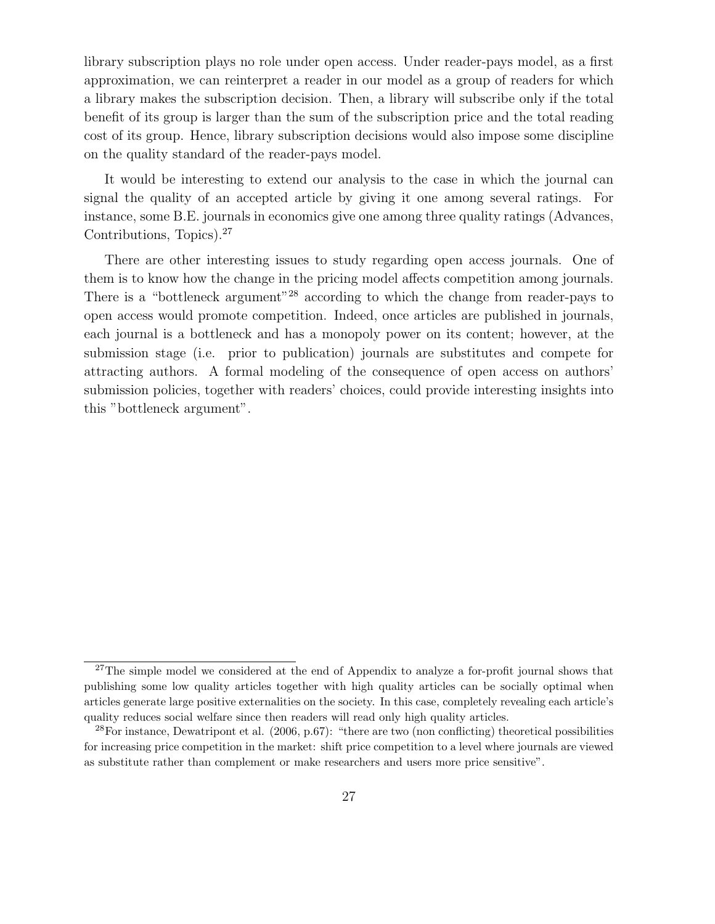library subscription plays no role under open access. Under reader-pays model, as a first approximation, we can reinterpret a reader in our model as a group of readers for which a library makes the subscription decision. Then, a library will subscribe only if the total benefit of its group is larger than the sum of the subscription price and the total reading cost of its group. Hence, library subscription decisions would also impose some discipline on the quality standard of the reader-pays model.

It would be interesting to extend our analysis to the case in which the journal can signal the quality of an accepted article by giving it one among several ratings. For instance, some B.E. journals in economics give one among three quality ratings (Advances, Contributions, Topics).<sup>27</sup>

There are other interesting issues to study regarding open access journals. One of them is to know how the change in the pricing model affects competition among journals. There is a "bottleneck argument"<sup>28</sup> according to which the change from reader-pays to open access would promote competition. Indeed, once articles are published in journals, each journal is a bottleneck and has a monopoly power on its content; however, at the submission stage (i.e. prior to publication) journals are substitutes and compete for attracting authors. A formal modeling of the consequence of open access on authors' submission policies, together with readers' choices, could provide interesting insights into this "bottleneck argument".

<sup>&</sup>lt;sup>27</sup>The simple model we considered at the end of Appendix to analyze a for-profit journal shows that publishing some low quality articles together with high quality articles can be socially optimal when articles generate large positive externalities on the society. In this case, completely revealing each article's quality reduces social welfare since then readers will read only high quality articles.

 $^{28}$ For instance, Dewatripont et al. (2006, p.67): "there are two (non conflicting) theoretical possibilities for increasing price competition in the market: shift price competition to a level where journals are viewed as substitute rather than complement or make researchers and users more price sensitive".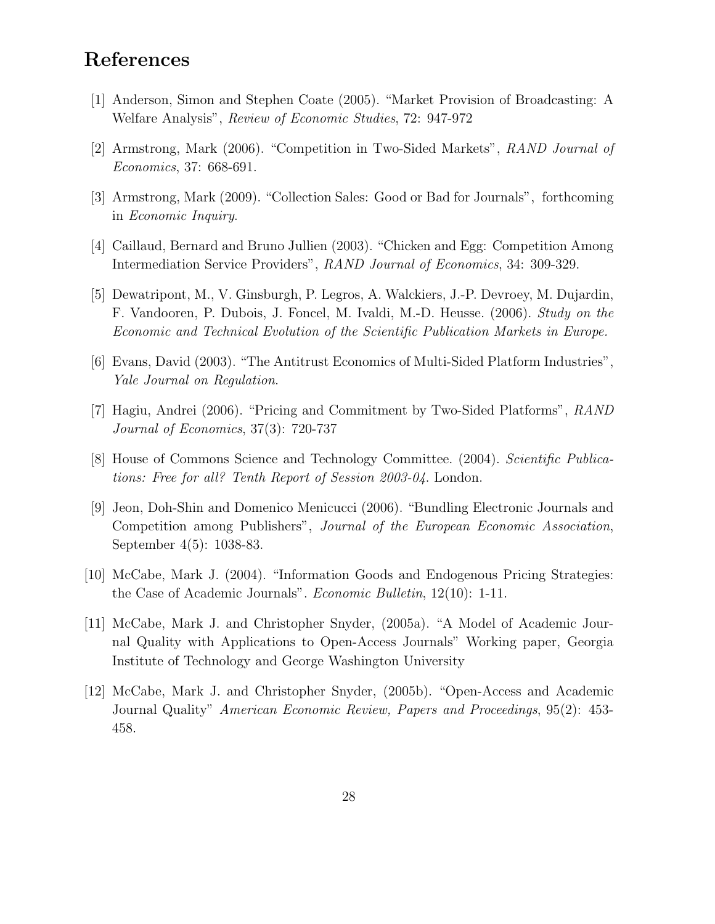# **References**

- [1] Anderson, Simon and Stephen Coate (2005). "Market Provision of Broadcasting: A Welfare Analysis", Review of Economic Studies, 72: 947-972
- [2] Armstrong, Mark (2006). "Competition in Two-Sided Markets", RAND Journal of Economics, 37: 668-691.
- [3] Armstrong, Mark (2009). "Collection Sales: Good or Bad for Journals", forthcoming in Economic Inquiry.
- [4] Caillaud, Bernard and Bruno Jullien (2003). "Chicken and Egg: Competition Among Intermediation Service Providers", RAND Journal of Economics, 34: 309-329.
- [5] Dewatripont, M., V. Ginsburgh, P. Legros, A. Walckiers, J.-P. Devroey, M. Dujardin, F. Vandooren, P. Dubois, J. Foncel, M. Ivaldi, M.-D. Heusse. (2006). Study on the Economic and Technical Evolution of the Scientific Publication Markets in Europe.
- [6] Evans, David (2003). "The Antitrust Economics of Multi-Sided Platform Industries", Yale Journal on Regulation.
- [7] Hagiu, Andrei (2006). "Pricing and Commitment by Two-Sided Platforms", RAND Journal of Economics, 37(3): 720-737
- [8] House of Commons Science and Technology Committee. (2004). Scientific Publications: Free for all? Tenth Report of Session 2003-04. London.
- [9] Jeon, Doh-Shin and Domenico Menicucci (2006). "Bundling Electronic Journals and Competition among Publishers", Journal of the European Economic Association, September 4(5): 1038-83.
- [10] McCabe, Mark J. (2004). "Information Goods and Endogenous Pricing Strategies: the Case of Academic Journals". Economic Bulletin, 12(10): 1-11.
- [11] McCabe, Mark J. and Christopher Snyder, (2005a). "A Model of Academic Journal Quality with Applications to Open-Access Journals" Working paper, Georgia Institute of Technology and George Washington University
- [12] McCabe, Mark J. and Christopher Snyder, (2005b). "Open-Access and Academic Journal Quality" American Economic Review, Papers and Proceedings, 95(2): 453- 458.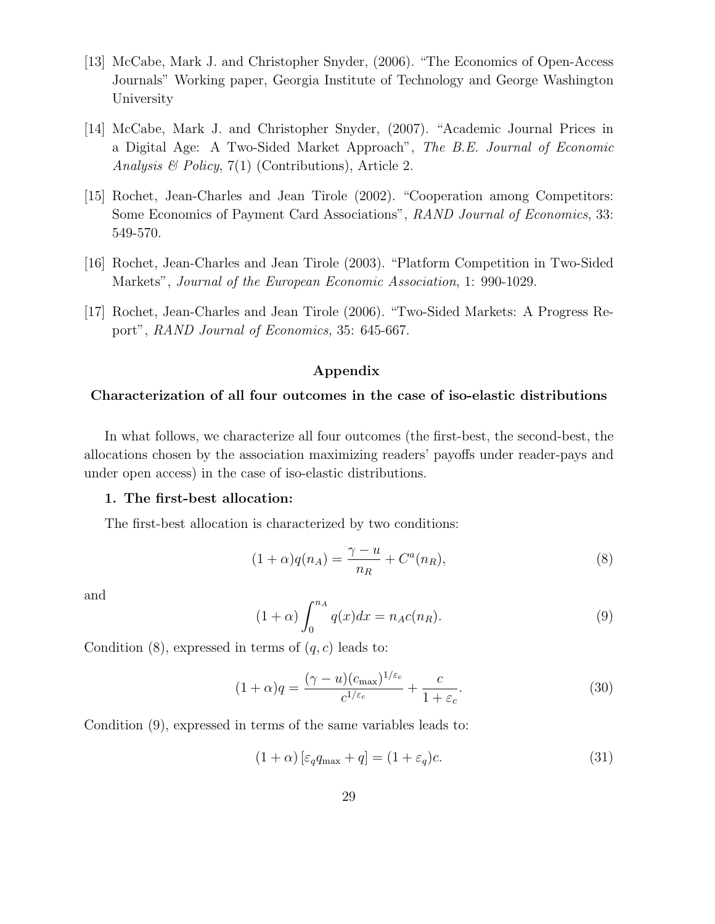- [13] McCabe, Mark J. and Christopher Snyder, (2006). "The Economics of Open-Access Journals" Working paper, Georgia Institute of Technology and George Washington University
- [14] McCabe, Mark J. and Christopher Snyder, (2007). "Academic Journal Prices in a Digital Age: A Two-Sided Market Approach", The B.E. Journal of Economic Analysis & Policy,  $7(1)$  (Contributions), Article 2.
- [15] Rochet, Jean-Charles and Jean Tirole (2002). "Cooperation among Competitors: Some Economics of Payment Card Associations", RAND Journal of Economics, 33: 549-570.
- [16] Rochet, Jean-Charles and Jean Tirole (2003). "Platform Competition in Two-Sided Markets", Journal of the European Economic Association, 1: 990-1029.
- [17] Rochet, Jean-Charles and Jean Tirole (2006). "Two-Sided Markets: A Progress Report", RAND Journal of Economics, 35: 645-667.

#### **Appendix**

#### **Characterization of all four outcomes in the case of iso-elastic distributions**

In what follows, we characterize all four outcomes (the first-best, the second-best, the allocations chosen by the association maximizing readers' payoffs under reader-pays and under open access) in the case of iso-elastic distributions.

#### **1. The first-best allocation:**

The first-best allocation is characterized by two conditions:

$$
(1+\alpha)q(n_A) = \frac{\gamma - u}{n_R} + C^a(n_R), \tag{8}
$$

and

$$
(1+\alpha)\int_0^{n_A} q(x)dx = n_A c(n_R). \tag{9}
$$

Condition  $(8)$ , expressed in terms of  $(q, c)$  leads to:

$$
(1+\alpha)q = \frac{(\gamma - u)(c_{\text{max}})^{1/\varepsilon_c}}{c^{1/\varepsilon_c}} + \frac{c}{1+\varepsilon_c}.
$$
\n(30)

Condition (9), expressed in terms of the same variables leads to:

$$
(1+\alpha)\left[\varepsilon_q q_{\max} + q\right] = (1+\varepsilon_q)c.\tag{31}
$$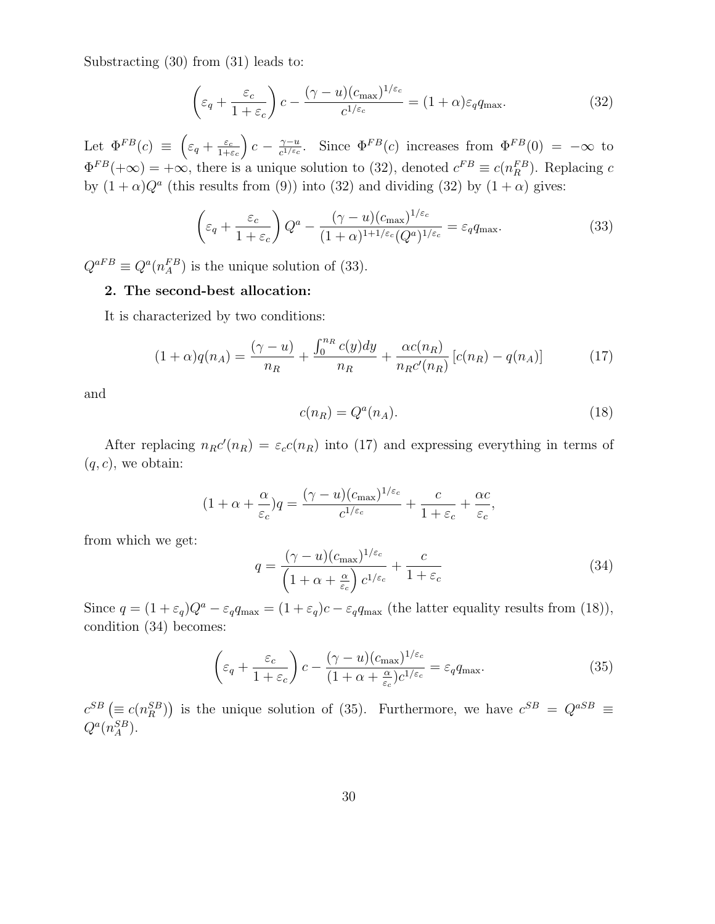Substracting (30) from (31) leads to:

$$
\left(\varepsilon_q + \frac{\varepsilon_c}{1 + \varepsilon_c}\right)c - \frac{(\gamma - u)(c_{\text{max}})^{1/\varepsilon_c}}{c^{1/\varepsilon_c}} = (1 + \alpha)\varepsilon_q q_{\text{max}}.\tag{32}
$$

Let  $\Phi^{FB}(c) \equiv \left(\varepsilon_q + \frac{\varepsilon_c}{1+\varepsilon_c}\right)$  $c - \frac{\gamma - u}{c^{1/\varepsilon_c}}$ . Since  $\Phi^{FB}(c)$  increases from  $\Phi^{FB}(0) = -\infty$  to  $\Phi^{FB}(+\infty) = +\infty$ , there is a unique solution to (32), denoted  $c^{FB} \equiv c(n_R^{FB})$ . Replacing c by  $(1 + \alpha)Q^a$  (this results from (9)) into (32) and dividing (32) by  $(1 + \alpha)$  gives:

$$
\left(\varepsilon_q + \frac{\varepsilon_c}{1 + \varepsilon_c}\right) Q^a - \frac{(\gamma - u)(c_{\text{max}})^{1/\varepsilon_c}}{(1 + \alpha)^{1 + 1/\varepsilon_c} (Q^a)^{1/\varepsilon_c}} = \varepsilon_q q_{\text{max}}.\tag{33}
$$

 $Q^{aFB} \equiv Q^a(n_A^{FB})$  is the unique solution of (33).

#### **2. The second-best allocation:**

It is characterized by two conditions:

$$
(1+\alpha)q(n_A) = \frac{(\gamma - u)}{n_R} + \frac{\int_0^{n_R} c(y) dy}{n_R} + \frac{\alpha c(n_R)}{n_R c'(n_R)} \left[c(n_R) - q(n_A)\right]
$$
(17)

and

$$
c(n_R) = Q^a(n_A). \tag{18}
$$

After replacing  $n_R c'(n_R) = \varepsilon_c c(n_R)$  into (17) and expressing everything in terms of  $(q, c)$ , we obtain:

$$
(1+\alpha+\frac{\alpha}{\varepsilon_c})q = \frac{(\gamma-u)(c_{\max})^{1/\varepsilon_c}}{c^{1/\varepsilon_c}} + \frac{c}{1+\varepsilon_c} + \frac{\alpha c}{\varepsilon_c},
$$

from which we get:

$$
q = \frac{(\gamma - u)(c_{\text{max}})^{1/\varepsilon_c}}{\left(1 + \alpha + \frac{\alpha}{\varepsilon_c}\right)c^{1/\varepsilon_c}} + \frac{c}{1 + \varepsilon_c} \tag{34}
$$

Since  $q = (1 + \varepsilon_q)Q^a - \varepsilon_q q_{\text{max}} = (1 + \varepsilon_q)c - \varepsilon_q q_{\text{max}}$  (the latter equality results from (18)), condition (34) becomes:

$$
\left(\varepsilon_q + \frac{\varepsilon_c}{1 + \varepsilon_c}\right)c - \frac{(\gamma - u)(c_{\text{max}})^{1/\varepsilon_c}}{(1 + \alpha + \frac{\alpha}{\varepsilon_c})c^{1/\varepsilon_c}} = \varepsilon_q q_{\text{max}}.\tag{35}
$$

 $c^{SB}$  ( $\equiv c(n_R^{SB})$ ) is the unique solution of (35). Furthermore, we have  $c^{SB} = Q^{aSB} \equiv$  $Q^a(n_A^{SB})$ .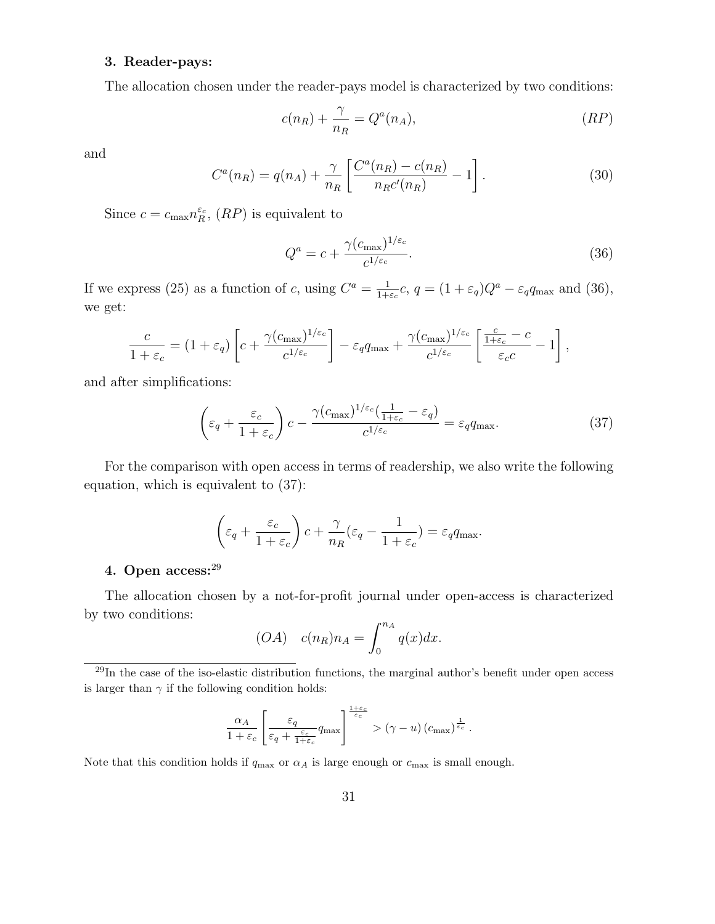#### **3. Reader-pays:**

The allocation chosen under the reader-pays model is characterized by two conditions:

$$
c(n_R) + \frac{\gamma}{n_R} = Q^a(n_A), \qquad (RP)
$$

and

$$
C^{a}(n_{R}) = q(n_{A}) + \frac{\gamma}{n_{R}} \left[ \frac{C^{a}(n_{R}) - c(n_{R})}{n_{R}c'(n_{R})} - 1 \right].
$$
 (30)

Since  $c = c_{\text{max}} n_R^{\varepsilon_c}$ ,  $(RP)$  is equivalent to

$$
Q^a = c + \frac{\gamma (c_{\text{max}})^{1/\varepsilon_c}}{c^{1/\varepsilon_c}}.
$$
\n(36)

If we express (25) as a function of c, using  $C^a = \frac{1}{1+\varepsilon_c}c$ ,  $q = (1+\varepsilon_q)Q^a - \varepsilon_q q_{\text{max}}$  and (36), we get:

$$
\frac{c}{1+\varepsilon_c} = (1+\varepsilon_q) \left[ c + \frac{\gamma (c_{\text{max}})^{1/\varepsilon_c}}{c^{1/\varepsilon_c}} \right] - \varepsilon_q q_{\text{max}} + \frac{\gamma (c_{\text{max}})^{1/\varepsilon_c}}{c^{1/\varepsilon_c}} \left[ \frac{\frac{c}{1+\varepsilon_c} - c}{\varepsilon_c c} - 1 \right],
$$

and after simplifications:

$$
\left(\varepsilon_q + \frac{\varepsilon_c}{1 + \varepsilon_c}\right)c - \frac{\gamma (c_{\text{max}})^{1/\varepsilon_c}(\frac{1}{1 + \varepsilon_c} - \varepsilon_q)}{c^{1/\varepsilon_c}} = \varepsilon_q q_{\text{max}}.\tag{37}
$$

For the comparison with open access in terms of readership, we also write the following equation, which is equivalent to (37):

$$
\left(\varepsilon_q + \frac{\varepsilon_c}{1 + \varepsilon_c}\right)c + \frac{\gamma}{n_R}(\varepsilon_q - \frac{1}{1 + \varepsilon_c}) = \varepsilon_q q_{\text{max}}.
$$

#### **4. Open access:**<sup>29</sup>

The allocation chosen by a not-for-profit journal under open-access is characterized by two conditions:

$$
(OA) \quad c(n_R)n_A = \int_0^{n_A} q(x)dx.
$$

$$
\frac{\alpha_A}{1+\varepsilon_c} \left[ \frac{\varepsilon_q}{\varepsilon_q + \frac{\varepsilon_c}{1+\varepsilon_c}} q_{\text{max}} \right]^{\frac{1+\varepsilon_c}{\varepsilon_c}} > (\gamma - u) (c_{\text{max}})^{\frac{1}{\varepsilon_c}}.
$$

Note that this condition holds if  $q_{\text{max}}$  or  $\alpha_A$  is large enough or  $c_{\text{max}}$  is small enough.

 $^{29}$ In the case of the iso-elastic distribution functions, the marginal author's benefit under open access is larger than  $\gamma$  if the following condition holds: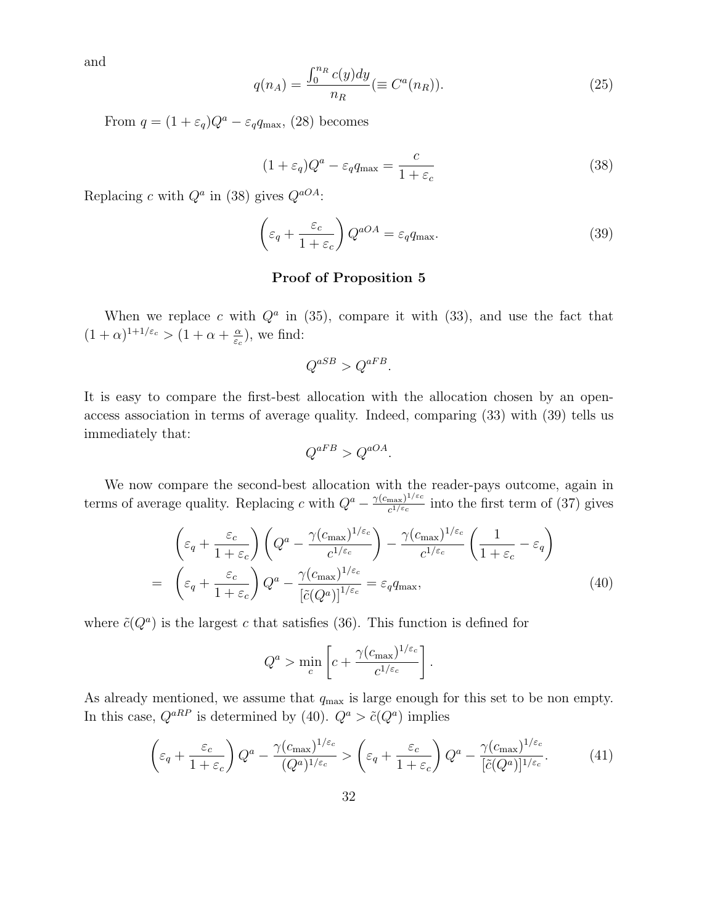and

$$
q(n_A) = \frac{\int_0^{n_R} c(y) dy}{n_R} (\equiv C^a(n_R)).
$$
\n(25)

From  $q = (1 + \varepsilon_q)Q^a - \varepsilon_q q_{\text{max}}$ , (28) becomes

$$
(1 + \varepsilon_q)Q^a - \varepsilon_q q_{\text{max}} = \frac{c}{1 + \varepsilon_c} \tag{38}
$$

Replacing c with  $Q^a$  in (38) gives  $Q^{aOA}$ :

$$
\left(\varepsilon_q + \frac{\varepsilon_c}{1 + \varepsilon_c}\right) Q^{aOA} = \varepsilon_q q_{\text{max}}.\tag{39}
$$

#### **Proof of Proposition 5**

When we replace c with  $Q^a$  in (35), compare it with (33), and use the fact that  $(1+\alpha)^{1+1/\varepsilon_c} > (1+\alpha+\frac{\alpha}{\varepsilon_c})$ , we find:

$$
Q^{aSB} > Q^{aFB}.
$$

It is easy to compare the first-best allocation with the allocation chosen by an openaccess association in terms of average quality. Indeed, comparing (33) with (39) tells us immediately that:

$$
Q^{aFB} > Q^{aOA}.
$$

We now compare the second-best allocation with the reader-pays outcome, again in terms of average quality. Replacing c with  $Q^a - \frac{\gamma(c_{\text{max}})^{1/\varepsilon_c}}{c^{1/\varepsilon_c}}$  into the first term of (37) gives

$$
\begin{aligned}\n&\left(\varepsilon_q + \frac{\varepsilon_c}{1 + \varepsilon_c}\right) \left(Q^a - \frac{\gamma (c_{\text{max}})^{1/\varepsilon_c}}{c^{1/\varepsilon_c}}\right) - \frac{\gamma (c_{\text{max}})^{1/\varepsilon_c}}{c^{1/\varepsilon_c}} \left(\frac{1}{1 + \varepsilon_c} - \varepsilon_q\right) \\
&= \left(\varepsilon_q + \frac{\varepsilon_c}{1 + \varepsilon_c}\right) Q^a - \frac{\gamma (c_{\text{max}})^{1/\varepsilon_c}}{\left[\tilde{c}(Q^a)\right]^{1/\varepsilon_c}} = \varepsilon_q q_{\text{max}},\n\end{aligned} \tag{40}
$$

where  $\tilde{c}(Q^a)$  is the largest c that satisfies (36). This function is defined for

$$
Q^a > \min_c \left[ c + \frac{\gamma (c_{\text{max}})^{1/\varepsilon_c}}{c^{1/\varepsilon_c}} \right].
$$

As already mentioned, we assume that  $q_{\text{max}}$  is large enough for this set to be non empty. In this case,  $Q^{aRP}$  is determined by (40).  $Q^a > \tilde{c}(Q^a)$  implies

$$
\left(\varepsilon_q + \frac{\varepsilon_c}{1+\varepsilon_c}\right) Q^a - \frac{\gamma (c_{\text{max}})^{1/\varepsilon_c}}{(Q^a)^{1/\varepsilon_c}} > \left(\varepsilon_q + \frac{\varepsilon_c}{1+\varepsilon_c}\right) Q^a - \frac{\gamma (c_{\text{max}})^{1/\varepsilon_c}}{[\tilde{c}(Q^a)]^{1/\varepsilon_c}}.\tag{41}
$$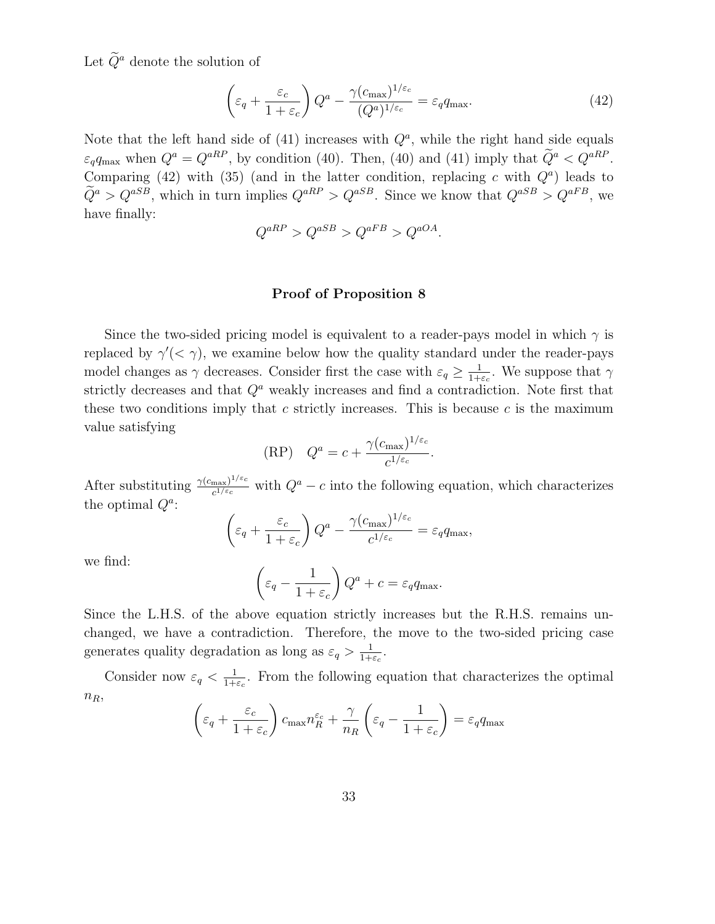Let  $\widetilde{Q}^a$  denote the solution of

$$
\left(\varepsilon_q + \frac{\varepsilon_c}{1 + \varepsilon_c}\right) Q^a - \frac{\gamma (c_{\text{max}})^{1/\varepsilon_c}}{(Q^a)^{1/\varepsilon_c}} = \varepsilon_q q_{\text{max}}.\tag{42}
$$

Note that the left hand side of (41) increases with  $Q^a$ , while the right hand side equals  $\varepsilon_q q_{\text{max}}$  when  $Q^a = Q^{aRP}$ , by condition (40). Then, (40) and (41) imply that  $\tilde{Q}^a < Q^{aRP}$ . Comparing (42) with (35) (and in the latter condition, replacing c with  $Q<sup>a</sup>$ ) leads to  $\tilde{Q}^a > Q^{aSB}$ , which in turn implies  $Q^{aRP} > Q^{aSB}$ . Since we know that  $Q^{aSB} > Q^{aFB}$ , we have finally:

$$
Q^{aRP} > Q^{aSB} > Q^{aFB} > Q^{aOA}.
$$

#### **Proof of Proposition 8**

Since the two-sided pricing model is equivalent to a reader-pays model in which  $\gamma$  is replaced by  $\gamma'(<\gamma$ ), we examine below how the quality standard under the reader-pays model changes as  $\gamma$  decreases. Consider first the case with  $\varepsilon_q \geq \frac{1}{1+\varepsilon_c}$ . We suppose that  $\gamma$ strictly decreases and that  $Q<sup>a</sup>$  weakly increases and find a contradiction. Note first that these two conditions imply that c strictly increases. This is because c is the maximum value satisfying

(RP) 
$$
Q^a = c + \frac{\gamma (c_{\text{max}})^{1/\varepsilon_c}}{c^{1/\varepsilon_c}}.
$$

After substituting  $\frac{\gamma(c_{\text{max}})^{1/\varepsilon_c}}{c^{1/\varepsilon_c}}$  with  $Q^a - c$  into the following equation, which characterizes the optimal  $Q^a$ :

$$
\left(\varepsilon_q + \frac{\varepsilon_c}{1+\varepsilon_c}\right)Q^a - \frac{\gamma(c_{\text{max}})^{1/\varepsilon_c}}{c^{1/\varepsilon_c}} = \varepsilon_q q_{\text{max}},
$$

we find:

$$
\left(\varepsilon_q - \frac{1}{1 + \varepsilon_c}\right) Q^a + c = \varepsilon_q q_{\text{max}}.
$$

Since the L.H.S. of the above equation strictly increases but the R.H.S. remains unchanged, we have a contradiction. Therefore, the move to the two-sided pricing case generates quality degradation as long as  $\varepsilon_q > \frac{1}{1+\varepsilon_c}$ .

Consider now  $\varepsilon_q < \frac{1}{1+\varepsilon_c}$ . From the following equation that characterizes the optimal  $n_R$ ,  $\qquad \qquad$ 

$$
\left(\varepsilon_q + \frac{\varepsilon_c}{1 + \varepsilon_c}\right) c_{\max} n_R^{\varepsilon_c} + \frac{\gamma}{n_R} \left(\varepsilon_q - \frac{1}{1 + \varepsilon_c}\right) = \varepsilon_q q_{\max}
$$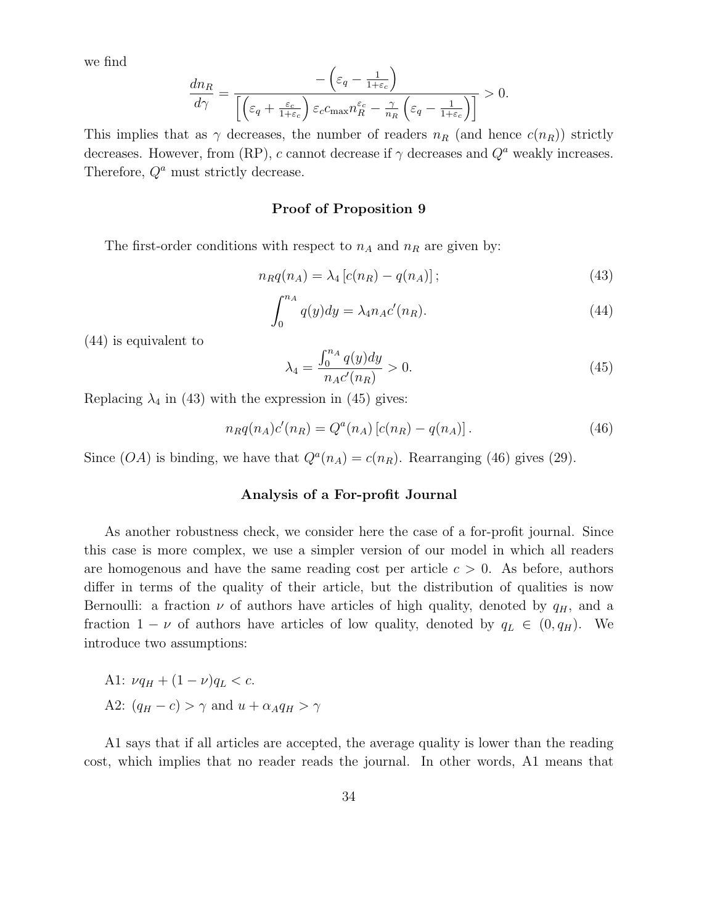we find

$$
\frac{dn_R}{d\gamma} = \frac{-\left(\varepsilon_q - \frac{1}{1+\varepsilon_c}\right)}{\left[\left(\varepsilon_q + \frac{\varepsilon_c}{1+\varepsilon_c}\right)\varepsilon_c c_{\max} n_R^{\varepsilon_c} - \frac{\gamma}{n_R} \left(\varepsilon_q - \frac{1}{1+\varepsilon_c}\right)\right]} > 0.
$$

This implies that as  $\gamma$  decreases, the number of readers  $n_R$  (and hence  $c(n_R)$ ) strictly decreases. However, from (RP), c cannot decrease if  $\gamma$  decreases and  $Q^a$  weakly increases. Therefore,  $Q^a$  must strictly decrease.

#### **Proof of Proposition 9**

The first-order conditions with respect to  $n_A$  and  $n_R$  are given by:

$$
n_R q(n_A) = \lambda_4 \left[ c(n_R) - q(n_A) \right];\tag{43}
$$

$$
\int_0^{n_A} q(y) dy = \lambda_4 n_A c'(n_R). \tag{44}
$$

(44) is equivalent to

$$
\lambda_4 = \frac{\int_0^{n_A} q(y) dy}{n_A c'(n_R)} > 0.
$$
\n(45)

Replacing  $\lambda_4$  in (43) with the expression in (45) gives:

$$
n_R q(n_A) c'(n_R) = Q^a(n_A) [c(n_R) - q(n_A)]. \qquad (46)
$$

Since  $(OA)$  is binding, we have that  $Q^{a}(n_A) = c(n_R)$ . Rearranging (46) gives (29).

#### **Analysis of a For-profit Journal**

As another robustness check, we consider here the case of a for-profit journal. Since this case is more complex, we use a simpler version of our model in which all readers are homogenous and have the same reading cost per article  $c > 0$ . As before, authors differ in terms of the quality of their article, but the distribution of qualities is now Bernoulli: a fraction  $\nu$  of authors have articles of high quality, denoted by  $q_H$ , and a fraction  $1 - \nu$  of authors have articles of low quality, denoted by  $q_L \in (0, q_H)$ . We introduce two assumptions:

A1: 
$$
\nu q_H + (1 - \nu) q_L < c
$$
.  
A2:  $(q_H - c) > \gamma$  and  $u + \alpha_A q_H > \gamma$ 

A1 says that if all articles are accepted, the average quality is lower than the reading cost, which implies that no reader reads the journal. In other words, A1 means that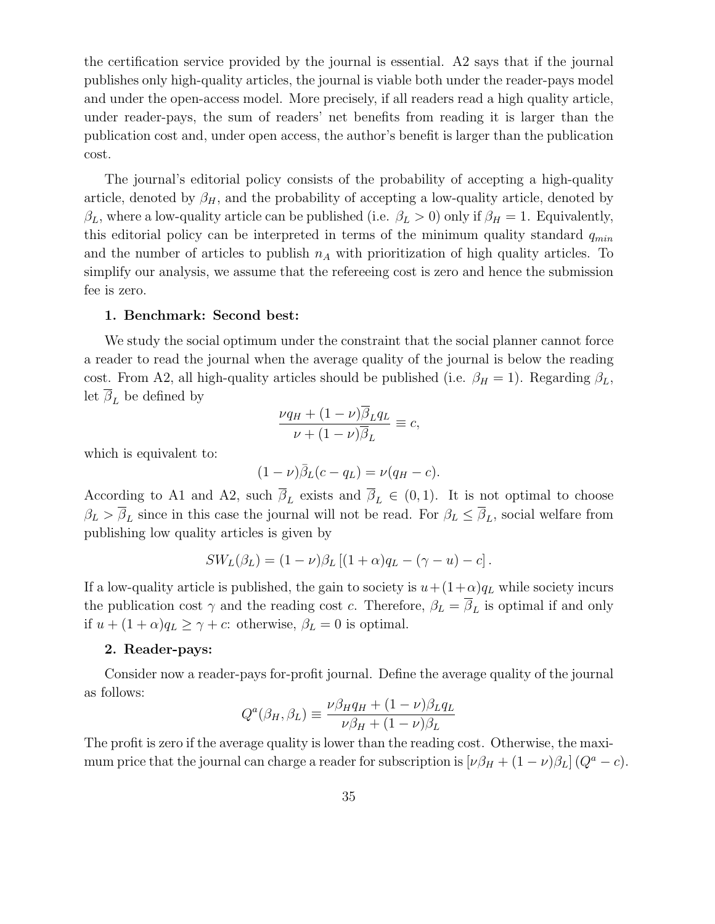the certification service provided by the journal is essential. A2 says that if the journal publishes only high-quality articles, the journal is viable both under the reader-pays model and under the open-access model. More precisely, if all readers read a high quality article, under reader-pays, the sum of readers' net benefits from reading it is larger than the publication cost and, under open access, the author's benefit is larger than the publication cost.

The journal's editorial policy consists of the probability of accepting a high-quality article, denoted by  $\beta_H$ , and the probability of accepting a low-quality article, denoted by  $\beta_L$ , where a low-quality article can be published (i.e.  $\beta_L > 0$ ) only if  $\beta_H = 1$ . Equivalently, this editorial policy can be interpreted in terms of the minimum quality standard  $q_{min}$ and the number of articles to publish  $n_A$  with prioritization of high quality articles. To simplify our analysis, we assume that the refereeing cost is zero and hence the submission fee is zero.

#### **1. Benchmark: Second best:**

We study the social optimum under the constraint that the social planner cannot force a reader to read the journal when the average quality of the journal is below the reading cost. From A2, all high-quality articles should be published (i.e.  $\beta_H = 1$ ). Regarding  $\beta_L$ , let  $\beta_L$  be defined by

$$
\frac{\nu q_H + (1 - \nu)\overline{\beta}_L q_L}{\nu + (1 - \nu)\overline{\beta}_L} \equiv c,
$$

which is equivalent to:

$$
(1 - \nu)\overline{\beta}_L(c - q_L) = \nu(q_H - c).
$$

According to A1 and A2, such  $\overline{\beta}_L$  exists and  $\overline{\beta}_L \in (0,1)$ . It is not optimal to choose  $\beta_L > \overline{\beta}_L$  since in this case the journal will not be read. For  $\beta_L \leq \overline{\beta}_L$ , social welfare from publishing low quality articles is given by

$$
SW_L(\beta_L) = (1 - \nu)\beta_L [(1 + \alpha)q_L - (\gamma - u) - c].
$$

If a low-quality article is published, the gain to society is  $u + (1+\alpha)q_L$  while society incurs the publication cost  $\gamma$  and the reading cost c. Therefore,  $\beta_L = \overline{\beta}_L$  is optimal if and only if  $u + (1 + \alpha)q_L \ge \gamma + c$ : otherwise,  $\beta_L = 0$  is optimal.

#### **2. Reader-pays:**

Consider now a reader-pays for-profit journal. Define the average quality of the journal as follows:

$$
Q^{a}(\beta_{H}, \beta_{L}) \equiv \frac{\nu \beta_{H} q_{H} + (1 - \nu)\beta_{L} q_{L}}{\nu \beta_{H} + (1 - \nu)\beta_{L}}
$$

The profit is zero if the average quality is lower than the reading cost. Otherwise, the maximum price that the journal can charge a reader for subscription is  $[\nu \beta_H + (1 - \nu) \beta_L] (Q^a - c)$ .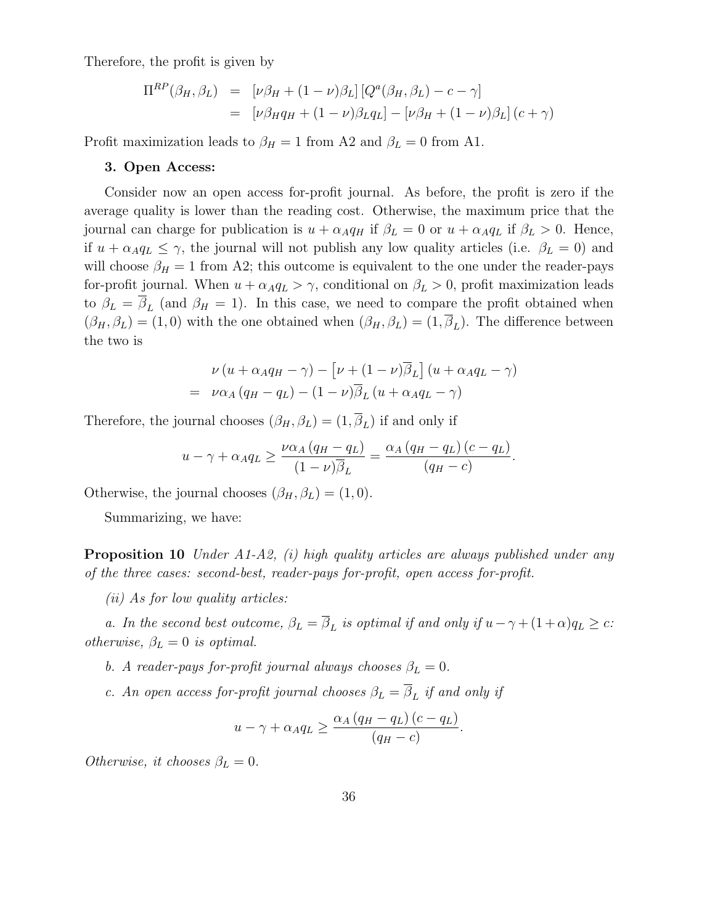Therefore, the profit is given by

$$
\Pi^{RP}(\beta_H, \beta_L) = [\nu \beta_H + (1 - \nu)\beta_L] [Q^a(\beta_H, \beta_L) - c - \gamma]
$$
  
= 
$$
[\nu \beta_H q_H + (1 - \nu)\beta_L q_L] - [\nu \beta_H + (1 - \nu)\beta_L] (c + \gamma)
$$

Profit maximization leads to  $\beta_H = 1$  from A2 and  $\beta_L = 0$  from A1.

#### **3. Open Access:**

Consider now an open access for-profit journal. As before, the profit is zero if the average quality is lower than the reading cost. Otherwise, the maximum price that the journal can charge for publication is  $u + \alpha_A q_H$  if  $\beta_L = 0$  or  $u + \alpha_A q_L$  if  $\beta_L > 0$ . Hence, if  $u + \alpha_A q_L \leq \gamma$ , the journal will not publish any low quality articles (i.e.  $\beta_L = 0$ ) and will choose  $\beta_H = 1$  from A2; this outcome is equivalent to the one under the reader-pays for-profit journal. When  $u + \alpha_A q_L > \gamma$ , conditional on  $\beta_L > 0$ , profit maximization leads to  $\beta_L = \overline{\beta}_L$  (and  $\beta_H = 1$ ). In this case, we need to compare the profit obtained when  $(\beta_H, \beta_L) = (1, 0)$  with the one obtained when  $(\beta_H, \beta_L) = (1, \overline{\beta}_L)$ . The difference between the two is

$$
\nu (u + \alpha_A q_H - \gamma) - \left[\nu + (1 - \nu)\overline{\beta}_L\right](u + \alpha_A q_L - \gamma)
$$
  
=  $\nu \alpha_A (q_H - q_L) - (1 - \nu)\overline{\beta}_L (u + \alpha_A q_L - \gamma)$ 

Therefore, the journal chooses  $(\beta_H, \beta_L) = (1, \overline{\beta}_L)$  if and only if

$$
u - \gamma + \alpha_A q_L \ge \frac{\nu \alpha_A (q_H - q_L)}{(1 - \nu)\overline{\beta}_L} = \frac{\alpha_A (q_H - q_L) (c - q_L)}{(q_H - c)}.
$$

Otherwise, the journal chooses  $(\beta_H, \beta_L) = (1, 0)$ .

Summarizing, we have:

**Proposition 10** Under A1-A2, (i) high quality articles are always published under any of the three cases: second-best, reader-pays for-profit, open access for-profit.

(ii) As for low quality articles:

a. In the second best outcome,  $\beta_L = \overline{\beta}_L$  is optimal if and only if  $u - \gamma + (1 + \alpha)q_L \geq c$ : otherwise,  $\beta_L = 0$  is optimal.

- b. A reader-pays for-profit journal always chooses  $\beta_L = 0$ .
- c. An open access for-profit journal chooses  $\beta_L = \overline{\beta}_L$  if and only if

$$
u - \gamma + \alpha_A q_L \ge \frac{\alpha_A (q_H - q_L) (c - q_L)}{(q_H - c)}.
$$

Otherwise, it chooses  $\beta_L = 0$ .